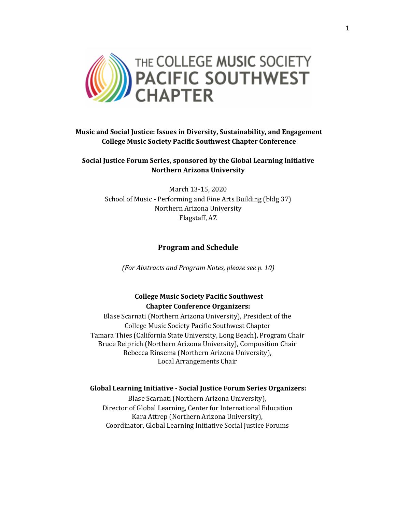

## **Music and Social Justice: Issues in Diversity, Sustainability, and Engagement College Music Society Pacific Southwest Chapter Conference**

## **Social Justice Forum Series, sponsored by the Global Learning Initiative Northern Arizona University**

March 13-15, 2020 School of Music - Performing and Fine Arts Building (bldg 37) Northern Arizona University Flagstaff, AZ

## **Program and Schedule**

*(For Abstracts and Program Notes, please see p. 10)* 

## **College Music Society Pacific Southwest Chapter Conference Organizers:**

Blase Scarnati (Northern Arizona University), President of the College Music Society Pacific Southwest Chapter Tamara Thies (California State University, Long Beach), Program Chair Bruce Reiprich (Northern Arizona University), Composition Chair Rebecca Rinsema (Northern Arizona University), Local Arrangements Chair

#### **Global Learning Initiative - Social Justice Forum Series Organizers:**

Blase Scarnati (Northern Arizona University), Director of Global Learning, Center for International Education Kara Attrep (Northern Arizona University), Coordinator, Global Learning Initiative Social Justice Forums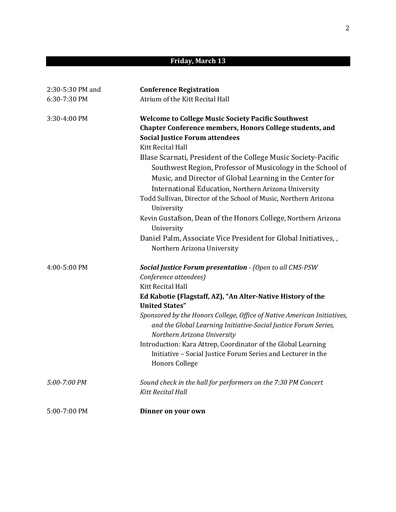# **Friday, March 13**

| 2:30-5:30 PM and<br>6:30-7:30 PM | <b>Conference Registration</b><br>Atrium of the Kitt Recital Hall                                                                                                                                                                                                                                                                                                                                                                                                                                                                                                                                                                                                                                                |
|----------------------------------|------------------------------------------------------------------------------------------------------------------------------------------------------------------------------------------------------------------------------------------------------------------------------------------------------------------------------------------------------------------------------------------------------------------------------------------------------------------------------------------------------------------------------------------------------------------------------------------------------------------------------------------------------------------------------------------------------------------|
| 3:30-4:00 PM                     | <b>Welcome to College Music Society Pacific Southwest</b><br>Chapter Conference members, Honors College students, and<br><b>Social Justice Forum attendees</b><br><b>Kitt Recital Hall</b><br>Blase Scarnati, President of the College Music Society-Pacific<br>Southwest Region, Professor of Musicology in the School of<br>Music, and Director of Global Learning in the Center for<br>International Education, Northern Arizona University<br>Todd Sullivan, Director of the School of Music, Northern Arizona<br>University<br>Kevin Gustafson, Dean of the Honors College, Northern Arizona<br>University<br>Daniel Palm, Associate Vice President for Global Initiatives,,<br>Northern Arizona University |
| 4:00-5:00 PM                     | <b>Social Justice Forum presentation - (Open to all CMS-PSW</b><br>Conference attendees)<br>Kitt Recital Hall<br>Ed Kabotie (Flagstaff, AZ), "An Alter-Native History of the<br><b>United States"</b><br>Sponsored by the Honors College, Office of Native American Initiatives,<br>and the Global Learning Initiative-Social Justice Forum Series,<br>Northern Arizona University<br>Introduction: Kara Attrep, Coordinator of the Global Learning<br>Initiative - Social Justice Forum Series and Lecturer in the<br><b>Honors College</b>                                                                                                                                                                     |
| 5:00-7:00 PM                     | Sound check in the hall for performers on the 7:30 PM Concert<br>Kitt Recital Hall                                                                                                                                                                                                                                                                                                                                                                                                                                                                                                                                                                                                                               |
| 5:00-7:00 PM                     | Dinner on your own                                                                                                                                                                                                                                                                                                                                                                                                                                                                                                                                                                                                                                                                                               |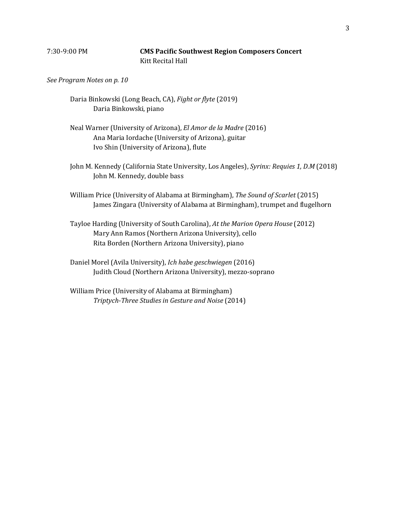## 7:30-9:00 PM **CMS Pacific Southwest Region Composers Concert** Kitt Recital Hall

#### See Program Notes on p. 10

- Daria Binkowski (Long Beach, CA), *Fight or flyte* (2019) Daria Binkowski, piano
- Neal Warner (University of Arizona), *El Amor de la Madre* (2016) Ana Maria Iordache (University of Arizona), guitar Ivo Shin (University of Arizona), flute
- John M. Kennedy (California State University, Los Angeles), *Syrinx: Requies 1, D.M* (2018) John M. Kennedy, double bass
- William Price (University of Alabama at Birmingham), The Sound of Scarlet (2015) James Zingara (University of Alabama at Birmingham), trumpet and flugelhorn
- Tayloe Harding (University of South Carolina), *At the Marion Opera House* (2012) Mary Ann Ramos (Northern Arizona University), cello Rita Borden (Northern Arizona University), piano
- Daniel Morel (Avila University), Ich habe geschwiegen (2016) Judith Cloud (Northern Arizona University), mezzo-soprano
- William Price (University of Alabama at Birmingham) *Triptych-Three Studies in Gesture and Noise* (2014)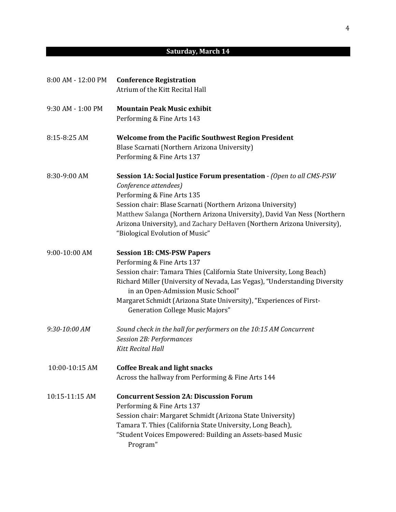**Saturday, March 14** 

| 8:00 AM - 12:00 PM | <b>Conference Registration</b>                                             |
|--------------------|----------------------------------------------------------------------------|
|                    | Atrium of the Kitt Recital Hall                                            |
| 9:30 AM - 1:00 PM  | <b>Mountain Peak Music exhibit</b>                                         |
|                    | Performing & Fine Arts 143                                                 |
| 8:15-8:25 AM       | <b>Welcome from the Pacific Southwest Region President</b>                 |
|                    | Blase Scarnati (Northern Arizona University)                               |
|                    | Performing & Fine Arts 137                                                 |
| 8:30-9:00 AM       | Session 1A: Social Justice Forum presentation - (Open to all CMS-PSW       |
|                    | Conference attendees)                                                      |
|                    | Performing & Fine Arts 135                                                 |
|                    | Session chair: Blase Scarnati (Northern Arizona University)                |
|                    | Matthew Salanga (Northern Arizona University), David Van Ness (Northern    |
|                    | Arizona University), and Zachary DeHaven (Northern Arizona University),    |
|                    | "Biological Evolution of Music"                                            |
| 9:00-10:00 AM      | <b>Session 1B: CMS-PSW Papers</b>                                          |
|                    | Performing & Fine Arts 137                                                 |
|                    | Session chair: Tamara Thies (California State University, Long Beach)      |
|                    | Richard Miller (University of Nevada, Las Vegas), "Understanding Diversity |
|                    | in an Open-Admission Music School"                                         |
|                    | Margaret Schmidt (Arizona State University), "Experiences of First-        |
|                    | <b>Generation College Music Majors"</b>                                    |
| 9:30-10:00 AM      | Sound check in the hall for performers on the 10:15 AM Concurrent          |
|                    | <b>Session 2B: Performances</b>                                            |
|                    | Kitt Recital Hall                                                          |
| 10:00-10:15 AM     | <b>Coffee Break and light snacks</b>                                       |
|                    | Across the hallway from Performing & Fine Arts 144                         |
| 10:15-11:15 AM     | <b>Concurrent Session 2A: Discussion Forum</b>                             |
|                    | Performing & Fine Arts 137                                                 |
|                    | Session chair: Margaret Schmidt (Arizona State University)                 |
|                    | Tamara T. Thies (California State University, Long Beach),                 |
|                    | "Student Voices Empowered: Building an Assets-based Music                  |
|                    | Program"                                                                   |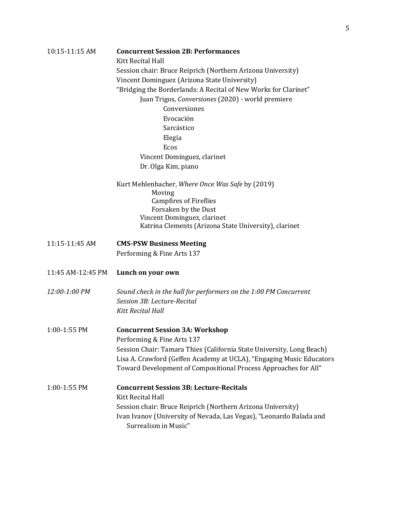| 10:15-11:15 AM    | <b>Concurrent Session 2B: Performances</b><br>Kitt Recital Hall                             |
|-------------------|---------------------------------------------------------------------------------------------|
|                   | Session chair: Bruce Reiprich (Northern Arizona University)                                 |
|                   | Vincent Dominguez (Arizona State University)                                                |
|                   | "Bridging the Borderlands: A Recital of New Works for Clarinet"                             |
|                   | Juan Trigos, Conversiones (2020) - world premiere                                           |
|                   | Conversiones                                                                                |
|                   | Evocación                                                                                   |
|                   | Sarcástico                                                                                  |
|                   | Elegía                                                                                      |
|                   | Ecos                                                                                        |
|                   | Vincent Dominguez, clarinet                                                                 |
|                   | Dr. Olga Kim, piano                                                                         |
|                   |                                                                                             |
|                   | Kurt Mehlenbacher, Where Once Was Safe by (2019)                                            |
|                   | Moving                                                                                      |
|                   | <b>Campfires of Fireflies</b>                                                               |
|                   | Forsaken by the Dust                                                                        |
|                   | Vincent Dominguez, clarinet                                                                 |
|                   | Katrina Clements (Arizona State University), clarinet                                       |
| 11:15-11:45 AM    | <b>CMS-PSW Business Meeting</b>                                                             |
|                   | Performing & Fine Arts 137                                                                  |
| 11:45 AM-12:45 PM | Lunch on your own                                                                           |
| 12:00-1:00 PM     | Sound check in the hall for performers on the 1:00 PM Concurrent                            |
|                   | Session 3B: Lecture-Recital                                                                 |
|                   | Kitt Recital Hall                                                                           |
| 1:00-1:55 PM      | <b>Concurrent Session 3A: Workshop</b>                                                      |
|                   | Performing & Fine Arts 137                                                                  |
|                   | Session Chair: Tamara Thies (California State University, Long Beach)                       |
|                   | Lisa A. Crawford (Geffen Academy at UCLA), "Engaging Music Educators                        |
|                   | Toward Development of Compositional Process Approaches for All"                             |
| 1:00-1:55 PM      | <b>Concurrent Session 3B: Lecture-Recitals</b>                                              |
|                   | Kitt Recital Hall                                                                           |
|                   | Session chair: Bruce Reiprich (Northern Arizona University)                                 |
|                   | Ivan Ivanov (University of Nevada, Las Vegas), "Leonardo Balada and<br>Surrealism in Music" |
|                   |                                                                                             |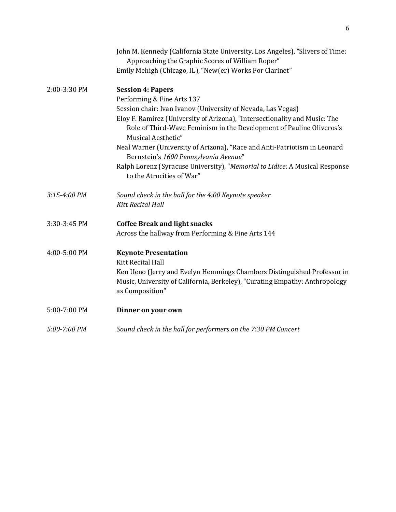|              | John M. Kennedy (California State University, Los Angeles), "Slivers of Time:                                      |
|--------------|--------------------------------------------------------------------------------------------------------------------|
|              | Approaching the Graphic Scores of William Roper"                                                                   |
|              | Emily Mehigh (Chicago, IL), "New(er) Works For Clarinet"                                                           |
| 2:00-3:30 PM | <b>Session 4: Papers</b>                                                                                           |
|              | Performing & Fine Arts 137                                                                                         |
|              | Session chair: Ivan Ivanov (University of Nevada, Las Vegas)                                                       |
|              | Eloy F. Ramirez (University of Arizona), "Intersectionality and Music: The                                         |
|              | Role of Third-Wave Feminism in the Development of Pauline Oliveros's<br>Musical Aesthetic"                         |
|              | Neal Warner (University of Arizona), "Race and Anti-Patriotism in Leonard<br>Bernstein's 1600 Pennsylvania Avenue" |
|              | Ralph Lorenz (Syracuse University), "Memorial to Lidice: A Musical Response<br>to the Atrocities of War"           |
| 3:15-4:00 PM | Sound check in the hall for the 4:00 Keynote speaker                                                               |
|              | Kitt Recital Hall                                                                                                  |
| 3:30-3:45 PM | <b>Coffee Break and light snacks</b>                                                                               |
|              | Across the hallway from Performing & Fine Arts 144                                                                 |
| 4:00-5:00 PM | <b>Keynote Presentation</b>                                                                                        |
|              | <b>Kitt Recital Hall</b>                                                                                           |
|              | Ken Ueno (Jerry and Evelyn Hemmings Chambers Distinguished Professor in                                            |
|              | Music, University of California, Berkeley), "Curating Empathy: Anthropology<br>as Composition"                     |
| 5:00-7:00 PM | Dinner on your own                                                                                                 |
| 5:00-7:00 PM | Sound check in the hall for performers on the 7:30 PM Concert                                                      |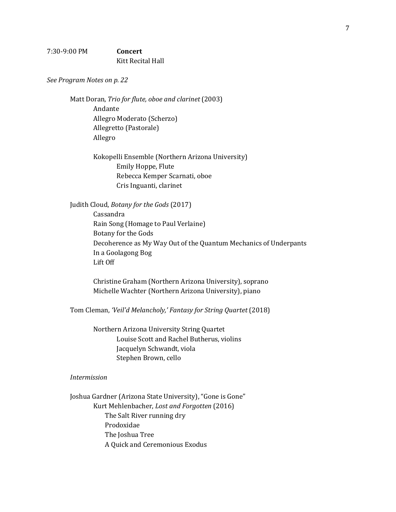7:30-9:00 PM **Concert** Kitt Recital Hall

See Program Notes on p. 22

Matt Doran, *Trio for flute, oboe and clarinet* (2003) Andante Allegro Moderato (Scherzo) Allegretto (Pastorale) Allegro

> Kokopelli Ensemble (Northern Arizona University) Emily Hoppe, Flute Rebecca Kemper Scarnati, oboe Cris Inguanti, clarinet

Judith Cloud, *Botany for the Gods* (2017) Cassandra Rain Song (Homage to Paul Verlaine) Botany for the Gods Decoherence as My Way Out of the Quantum Mechanics of Underpants In a Goolagong Bog Lift Off

Christine Graham (Northern Arizona University), soprano Michelle Wachter (Northern Arizona University), piano

Tom Cleman, 'Veil'd Melancholy,' Fantasy for String Quartet (2018)

Northern Arizona University String Quartet Louise Scott and Rachel Butherus, violins Jacquelyn Schwandt, viola Stephen Brown, cello

#### *Intermission*

Joshua Gardner (Arizona State University), "Gone is Gone" Kurt Mehlenbacher, *Lost and Forgotten* (2016) The Salt River running dry Prodoxidae The Ioshua Tree A Quick and Ceremonious Exodus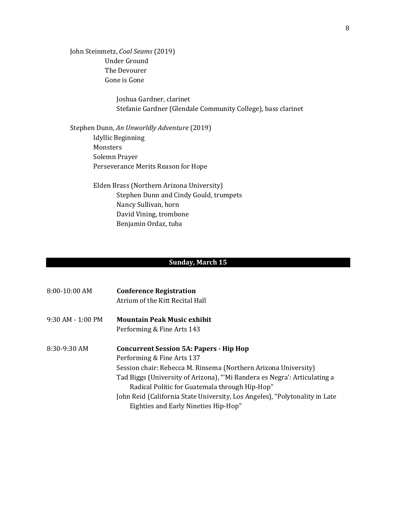John Steinmetz, *Coal Seams* (2019) Under Ground The Devourer Gone is Gone

> Joshua Gardner, clarinet Stefanie Gardner (Glendale Community College), bass clarinet

Stephen Dunn, *An Unworldly Adventure* (2019) Idyllic Beginning Monsters Solemn Prayer Perseverance Merits Reason for Hope

> Elden Brass (Northern Arizona University) Stephen Dunn and Cindy Gould, trumpets Nancy Sullivan, horn David Vining, trombone Benjamin Ordaz, tuba

## **Sunday, March 15**

| $8:00-10:00$ AM     | <b>Conference Registration</b><br>Atrium of the Kitt Recital Hall                                                                                                                                                                                                                                                                                                                                    |
|---------------------|------------------------------------------------------------------------------------------------------------------------------------------------------------------------------------------------------------------------------------------------------------------------------------------------------------------------------------------------------------------------------------------------------|
| $9:30$ AM - 1:00 PM | <b>Mountain Peak Music exhibit</b><br>Performing & Fine Arts 143                                                                                                                                                                                                                                                                                                                                     |
| $8:30-9:30$ AM      | <b>Concurrent Session 5A: Papers - Hip Hop</b><br>Performing & Fine Arts 137<br>Session chair: Rebecca M. Rinsema (Northern Arizona University)<br>Tad Biggs (University of Arizona), "Mi Bandera es Negra': Articulating a<br>Radical Politic for Guatemala through Hip-Hop"<br>John Reid (California State University, Los Angeles), "Polytonality in Late<br>Eighties and Early Nineties Hip-Hop" |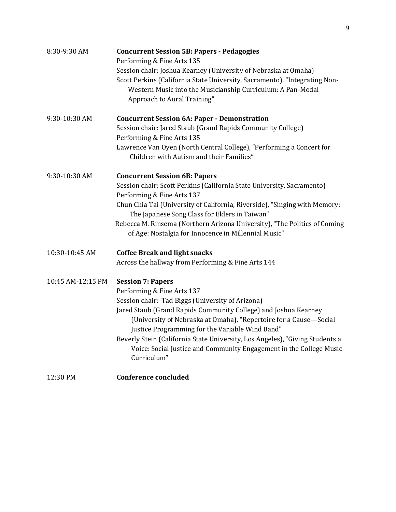| 8:30-9:30 AM      | <b>Concurrent Session 5B: Papers - Pedagogies</b>                            |
|-------------------|------------------------------------------------------------------------------|
|                   | Performing & Fine Arts 135                                                   |
|                   | Session chair: Joshua Kearney (University of Nebraska at Omaha)              |
|                   | Scott Perkins (California State University, Sacramento), "Integrating Non-   |
|                   | Western Music into the Musicianship Curriculum: A Pan-Modal                  |
|                   | Approach to Aural Training"                                                  |
| 9:30-10:30 AM     | <b>Concurrent Session 6A: Paper - Demonstration</b>                          |
|                   | Session chair: Jared Staub (Grand Rapids Community College)                  |
|                   | Performing & Fine Arts 135                                                   |
|                   | Lawrence Van Oyen (North Central College), "Performing a Concert for         |
|                   | Children with Autism and their Families"                                     |
| 9:30-10:30 AM     | <b>Concurrent Session 6B: Papers</b>                                         |
|                   | Session chair: Scott Perkins (California State University, Sacramento)       |
|                   | Performing & Fine Arts 137                                                   |
|                   | Chun Chia Tai (University of California, Riverside), "Singing with Memory:   |
|                   | The Japanese Song Class for Elders in Taiwan"                                |
|                   | Rebecca M. Rinsema (Northern Arizona University), "The Politics of Coming    |
|                   | of Age: Nostalgia for Innocence in Millennial Music"                         |
| 10:30-10:45 AM    | <b>Coffee Break and light snacks</b>                                         |
|                   | Across the hallway from Performing & Fine Arts 144                           |
| 10:45 AM-12:15 PM | <b>Session 7: Papers</b>                                                     |
|                   | Performing & Fine Arts 137                                                   |
|                   | Session chair: Tad Biggs (University of Arizona)                             |
|                   | Jared Staub (Grand Rapids Community College) and Joshua Kearney              |
|                   | (University of Nebraska at Omaha), "Repertoire for a Cause-Social            |
|                   | Justice Programming for the Variable Wind Band"                              |
|                   | Beverly Stein (California State University, Los Angeles), "Giving Students a |
|                   | Voice: Social Justice and Community Engagement in the College Music          |
|                   | Curriculum"                                                                  |
| 12:30 PM          | <b>Conference concluded</b>                                                  |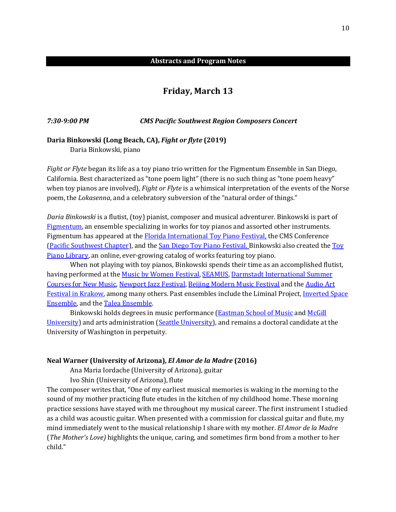## **Abstracts and Program Notes**

## **Friday, March 13**

*7:30-9:00 PM CMS Pacific Southwest Region Composers Concert*

#### **Daria Binkowski (Long Beach, CA), Fight or flyte (2019)**

Daria Binkowski, piano

*Fight or Flyte* began its life as a toy piano trio written for the Figmentum Ensemble in San Diego, California. Best characterized as "tone poem light" (there is no such thing as "tone poem heavy" when toy pianos are involved), *Fight or Flyte* is a whimsical interpretation of the events of the Norse poem, the *Lokasenna*, and a celebratory subversion of the "natural order of things."

*Daria Binkowski* is a flutist, (toy) pianist, composer and musical adventurer. Binkowski is part of Figmentum, an ensemble specializing in works for toy pianos and assorted other instruments. Figmentum has appeared at the Florida International Toy Piano Festival, the CMS Conference (Pacific Southwest Chapter), and the San Diego Toy Piano Festival. Binkowski also created the Toy Piano Library, an online, ever-growing catalog of works featuring toy piano.

When not playing with toy pianos, Binkowski spends their time as an accomplished flutist, having performed at the Music by Women Festival, SEAMUS, Darmstadt International Summer Courses for New Music, Newport Jazz Festival, Beijing Modern Music Festival and the Audio Art Festival in Krakow, among many others. Past ensembles include the Liminal Project, Inverted Space Ensemble, and the Talea Ensemble.

Binkowski holds degrees in music performance (Eastman School of Music and McGill University) and arts administration  $(S$ eattle University), and remains a doctoral candidate at the University of Washington in perpetuity.

#### **Neal Warner (University of Arizona),** *El Amor de la Madre* **(2016)**

Ana Maria Iordache (University of Arizona), guitar

Ivo Shin (University of Arizona), flute

The composer writes that, "One of my earliest musical memories is waking in the morning to the sound of my mother practicing flute etudes in the kitchen of my childhood home. These morning practice sessions have stayed with me throughout my musical career. The first instrument I studied as a child was acoustic guitar. When presented with a commission for classical guitar and flute, my mind immediately went to the musical relationship I share with my mother. *El Amor de la Madre* (*The Mother's Love*) highlights the unique, caring, and sometimes firm bond from a mother to her child."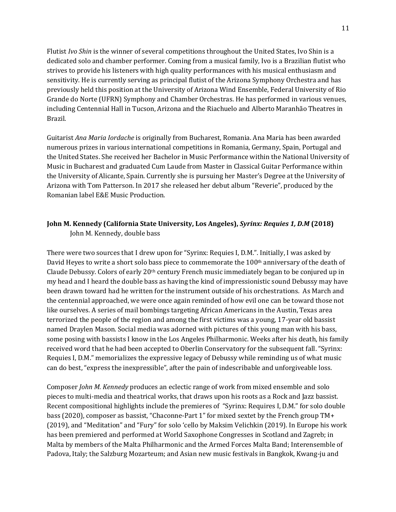Flutist *Ivo Shin* is the winner of several competitions throughout the United States, Ivo Shin is a dedicated solo and chamber performer. Coming from a musical family, Ivo is a Brazilian flutist who strives to provide his listeners with high quality performances with his musical enthusiasm and sensitivity. He is currently serving as principal flutist of the Arizona Symphony Orchestra and has previously held this position at the University of Arizona Wind Ensemble, Federal University of Rio Grande do Norte (UFRN) Symphony and Chamber Orchestras. He has performed in various venues, including Centennial Hall in Tucson, Arizona and the Riachuelo and Alberto Maranhão Theatres in Brazil.

Guitarist *Ana Maria Iordache* is originally from Bucharest, Romania. Ana Maria has been awarded numerous prizes in various international competitions in Romania, Germany, Spain, Portugal and the United States. She received her Bachelor in Music Performance within the National University of Music in Bucharest and graduated Cum Laude from Master in Classical Guitar Performance within the University of Alicante, Spain. Currently she is pursuing her Master's Degree at the University of Arizona with Tom Patterson. In 2017 she released her debut album "Reverie", produced by the Romanian label E&E Music Production.

## **John M. Kennedy (California State University, Los Angeles), Syrinx: Requies 1, D.M (2018)**

John M. Kennedy, double bass

There were two sources that I drew upon for "Syrinx: Requies I, D.M.". Initially, I was asked by David Heyes to write a short solo bass piece to commemorate the  $100$ <sup>th</sup> anniversary of the death of Claude Debussy. Colors of early  $20<sup>th</sup>$  century French music immediately began to be conjured up in my head and I heard the double bass as having the kind of impressionistic sound Debussy may have been drawn toward had he written for the instrument outside of his orchestrations. As March and the centennial approached, we were once again reminded of how evil one can be toward those not like ourselves. A series of mail bombings targeting African Americans in the Austin, Texas area terrorized the people of the region and among the first victims was a young, 17-year old bassist named Draylen Mason. Social media was adorned with pictures of this young man with his bass, some posing with bassists I know in the Los Angeles Philharmonic. Weeks after his death, his family received word that he had been accepted to Oberlin Conservatory for the subsequent fall. "Syrinx: Requies I, D.M." memorializes the expressive legacy of Debussy while reminding us of what music can do best, "express the inexpressible", after the pain of indescribable and unforgiveable loss.

Composer *John M. Kennedy* produces an eclectic range of work from mixed ensemble and solo pieces to multi-media and theatrical works, that draws upon his roots as a Rock and Jazz bassist. Recent compositional highlights include the premieres of "Syrinx: Requires I, D.M." for solo double bass (2020), composer as bassist, "Chaconne-Part 1" for mixed sextet by the French group TM+ (2019), and "Meditation" and "Fury" for solo 'cello by Maksim Velichkin (2019). In Europe his work has been premiered and performed at World Saxophone Congresses in Scotland and Zagreb; in Malta by members of the Malta Philharmonic and the Armed Forces Malta Band; Interensemble of Padova, Italy; the Salzburg Mozarteum; and Asian new music festivals in Bangkok, Kwang-ju and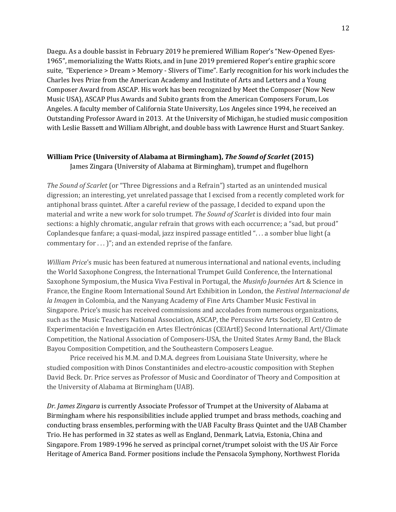Daegu. As a double bassist in February 2019 he premiered William Roper's "New-Opened Eyes-1965", memorializing the Watts Riots, and in June 2019 premiered Roper's entire graphic score suite, "Experience > Dream > Memory - Slivers of Time". Early recognition for his work includes the Charles Ives Prize from the American Academy and Institute of Arts and Letters and a Young Composer Award from ASCAP. His work has been recognized by Meet the Composer (Now New Music USA), ASCAP Plus Awards and Subito grants from the American Composers Forum, Los Angeles. A faculty member of California State University, Los Angeles since 1994, he received an Outstanding Professor Award in 2013. At the University of Michigan, he studied music composition with Leslie Bassett and William Albright, and double bass with Lawrence Hurst and Stuart Sankey.

## **William Price (University of Alabama at Birmingham),** *The Sound of Scarlet* **(2015)**

James Zingara (University of Alabama at Birmingham), trumpet and flugelhorn

*The Sound of Scarlet* (or "Three Digressions and a Refrain") started as an unintended musical digression; an interesting, yet unrelated passage that I excised from a recently completed work for antiphonal brass quintet. After a careful review of the passage, I decided to expand upon the material and write a new work for solo trumpet. *The Sound of Scarlet* is divided into four main sections: a highly chromatic, angular refrain that grows with each occurrence; a "sad, but proud" Coplandesque fanfare; a quasi-modal, jazz inspired passage entitled "... a somber blue light (a commentary for  $\dots$  )"; and an extended reprise of the fanfare.

*William Price's* music has been featured at numerous international and national events, including the World Saxophone Congress, the International Trumpet Guild Conference, the International Saxophone Symposium, the Musica Viva Festival in Portugal, the *Musinfo Journées* Art & Science in France, the Engine Room International Sound Art Exhibition in London, the *Festival Internacional de la Imagen* in Colombia, and the Nanyang Academy of Fine Arts Chamber Music Festival in Singapore. Price's music has received commissions and accolades from numerous organizations, such as the Music Teachers National Association, ASCAP, the Percussive Arts Society, El Centro de Experimentación e Investigación en Artes Electrónicas (CEIArtE) Second International Art!/Climate Competition, the National Association of Composers-USA, the United States Army Band, the Black Bayou Composition Competition, and the Southeastern Composers League.

Price received his M.M. and D.M.A. degrees from Louisiana State University, where he studied composition with Dinos Constantinides and electro-acoustic composition with Stephen David Beck. Dr. Price serves as Professor of Music and Coordinator of Theory and Composition at the University of Alabama at Birmingham (UAB).

*Dr. James Zingara* is currently Associate Professor of Trumpet at the University of Alabama at Birmingham where his responsibilities include applied trumpet and brass methods, coaching and conducting brass ensembles, performing with the UAB Faculty Brass Quintet and the UAB Chamber Trio. He has performed in 32 states as well as England, Denmark, Latvia, Estonia, China and Singapore. From 1989-1996 he served as principal cornet/trumpet soloist with the US Air Force Heritage of America Band. Former positions include the Pensacola Symphony, Northwest Florida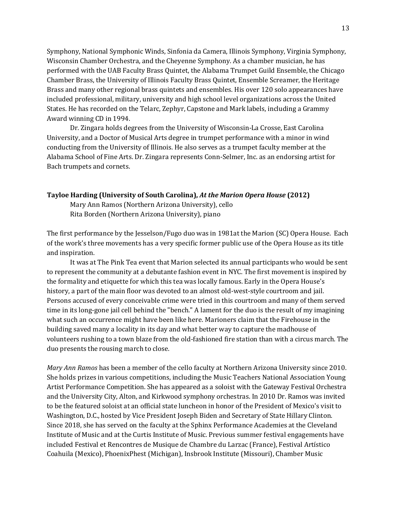Symphony, National Symphonic Winds, Sinfonia da Camera, Illinois Symphony, Virginia Symphony, Wisconsin Chamber Orchestra, and the Cheyenne Symphony. As a chamber musician, he has performed with the UAB Faculty Brass Quintet, the Alabama Trumpet Guild Ensemble, the Chicago Chamber Brass, the University of Illinois Faculty Brass Quintet, Ensemble Screamer, the Heritage Brass and many other regional brass quintets and ensembles. His over 120 solo appearances have included professional, military, university and high school level organizations across the United States. He has recorded on the Telarc, Zephyr, Capstone and Mark labels, including a Grammy Award winning CD in 1994.

Dr. Zingara holds degrees from the University of Wisconsin-La Crosse, East Carolina University, and a Doctor of Musical Arts degree in trumpet performance with a minor in wind conducting from the University of Illinois. He also serves as a trumpet faculty member at the Alabama School of Fine Arts. Dr. Zingara represents Conn-Selmer, Inc. as an endorsing artist for Bach trumpets and cornets.

#### **Tayloe Harding (University of South Carolina), At the Marion Opera House (2012)**

Mary Ann Ramos (Northern Arizona University), cello Rita Borden (Northern Arizona University), piano

The first performance by the Jesselson/Fugo duo was in 1981at the Marion (SC) Opera House. Each of the work's three movements has a very specific former public use of the Opera House as its title and inspiration.

It was at The Pink Tea event that Marion selected its annual participants who would be sent to represent the community at a debutante fashion event in NYC. The first movement is inspired by the formality and etiquette for which this tea was locally famous. Early in the Opera House's history, a part of the main floor was devoted to an almost old-west-style courtroom and jail. Persons accused of every conceivable crime were tried in this courtroom and many of them served time in its long-gone jail cell behind the "bench." A lament for the duo is the result of my imagining what such an occurrence might have been like here. Marioners claim that the Firehouse in the building saved many a locality in its day and what better way to capture the madhouse of volunteers rushing to a town blaze from the old-fashioned fire station than with a circus march. The duo presents the rousing march to close.

*Mary Ann Ramos* has been a member of the cello faculty at Northern Arizona University since 2010. She holds prizes in various competitions, including the Music Teachers National Association Young Artist Performance Competition. She has appeared as a soloist with the Gateway Festival Orchestra and the University City, Alton, and Kirkwood symphony orchestras. In 2010 Dr. Ramos was invited to be the featured soloist at an official state luncheon in honor of the President of Mexico's visit to Washington, D.C., hosted by Vice President Joseph Biden and Secretary of State Hillary Clinton. Since 2018, she has served on the faculty at the Sphinx Performance Academies at the Cleveland Institute of Music and at the Curtis Institute of Music. Previous summer festival engagements have included Festival et Rencontres de Musique de Chambre du Larzac (France), Festival Artístico Coahuila (Mexico), PhoenixPhest (Michigan), Insbrook Institute (Missouri), Chamber Music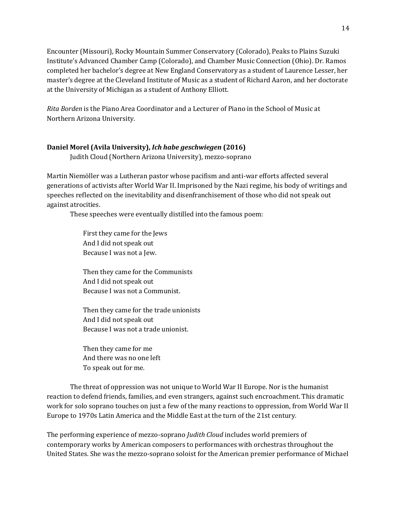Encounter (Missouri), Rocky Mountain Summer Conservatory (Colorado), Peaks to Plains Suzuki Institute's Advanced Chamber Camp (Colorado), and Chamber Music Connection (Ohio). Dr. Ramos completed her bachelor's degree at New England Conservatory as a student of Laurence Lesser, her master's degree at the Cleveland Institute of Music as a student of Richard Aaron, and her doctorate at the University of Michigan as a student of Anthony Elliott.

*Rita Borden* is the Piano Area Coordinator and a Lecturer of Piano in the School of Music at Northern Arizona University.

#### **Daniel Morel (Avila University),** *Ich habe geschwiegen* **(2016)**

Judith Cloud (Northern Arizona University), mezzo-soprano

Martin Niemöller was a Lutheran pastor whose pacifism and anti-war efforts affected several generations of activists after World War II. Imprisoned by the Nazi regime, his body of writings and speeches reflected on the inevitability and disenfranchisement of those who did not speak out against atrocities.

These speeches were eventually distilled into the famous poem:

First they came for the lews And I did not speak out Because I was not a Jew.

Then they came for the Communists And I did not speak out Because I was not a Communist.

Then they came for the trade unionists And I did not speak out Because I was not a trade unionist.

Then they came for me And there was no one left To speak out for me.

The threat of oppression was not unique to World War II Europe. Nor is the humanist reaction to defend friends, families, and even strangers, against such encroachment. This dramatic work for solo soprano touches on just a few of the many reactions to oppression, from World War II Europe to 1970s Latin America and the Middle East at the turn of the 21st century.

The performing experience of mezzo-soprano *Judith Cloud* includes world premiers of contemporary works by American composers to performances with orchestras throughout the United States. She was the mezzo-soprano soloist for the American premier performance of Michael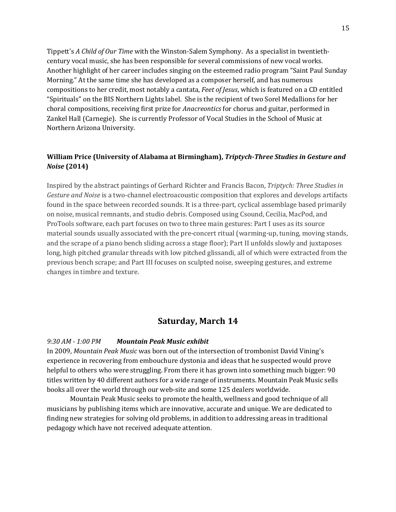Tippett's *A* Child of Our Time with the Winston-Salem Symphony. As a specialist in twentiethcentury vocal music, she has been responsible for several commissions of new vocal works. Another highlight of her career includes singing on the esteemed radio program "Saint Paul Sunday" Morning." At the same time she has developed as a composer herself, and has numerous compositions to her credit, most notably a cantata, *Feet of Jesus*, which is featured on a CD entitled "Spirituals" on the BIS Northern Lights label. She is the recipient of two Sorel Medallions for her choral compositions, receiving first prize for *Anacreontics* for chorus and guitar, performed in Zankel Hall (Carnegie). She is currently Professor of Vocal Studies in the School of Music at Northern Arizona University.

## **William Price (University of Alabama at Birmingham),** *Triptych-Three Studies in Gesture and Noise* **(2014)**

Inspired by the abstract paintings of Gerhard Richter and Francis Bacon, *Triptych: Three Studies in* Gesture and Noise is a two-channel electroacoustic composition that explores and develops artifacts found in the space between recorded sounds. It is a three-part, cyclical assemblage based primarily on noise, musical remnants, and studio debris. Composed using Csound, Cecilia, MacPod, and ProTools software, each part focuses on two to three main gestures: Part I uses as its source material sounds usually associated with the pre-concert ritual (warming-up, tuning, moving stands, and the scrape of a piano bench sliding across a stage floor); Part II unfolds slowly and juxtaposes long, high pitched granular threads with low pitched glissandi, all of which were extracted from the previous bench scrape; and Part III focuses on sculpted noise, sweeping gestures, and extreme changes in timbre and texture.

## **Saturday, March 14**

#### *9:30 AM - 1:00 PM Mountain Peak Music exhibit*

In 2009, *Mountain Peak Music* was born out of the intersection of trombonist David Vining's experience in recovering from embouchure dystonia and ideas that he suspected would prove helpful to others who were struggling. From there it has grown into something much bigger: 90 titles written by 40 different authors for a wide range of instruments. Mountain Peak Music sells books all over the world through our web-site and some 125 dealers worldwide.

Mountain Peak Music seeks to promote the health, wellness and good technique of all musicians by publishing items which are innovative, accurate and unique. We are dedicated to finding new strategies for solving old problems, in addition to addressing areas in traditional pedagogy which have not received adequate attention.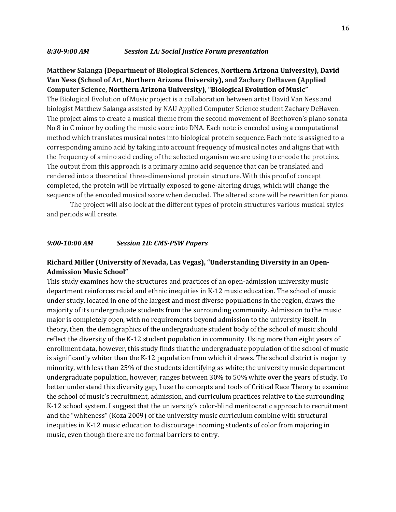## **Matthew Salanga (Department of Biological Sciences, Northern Arizona University), David Van Ness (School of Art, Northern Arizona University), and Zachary DeHaven (Applied Computer Science, Northern Arizona University), "Biological Evolution of Music"**

The Biological Evolution of Music project is a collaboration between artist David Van Ness and biologist Matthew Salanga assisted by NAU Applied Computer Science student Zachary DeHaven. The project aims to create a musical theme from the second movement of Beethoven's piano sonata No 8 in C minor by coding the music score into DNA. Each note is encoded using a computational method which translates musical notes into biological protein sequence. Each note is assigned to a corresponding amino acid by taking into account frequency of musical notes and aligns that with the frequency of amino acid coding of the selected organism we are using to encode the proteins. The output from this approach is a primary amino acid sequence that can be translated and rendered into a theoretical three-dimensional protein structure. With this proof of concept completed, the protein will be virtually exposed to gene-altering drugs, which will change the sequence of the encoded musical score when decoded. The altered score will be rewritten for piano.

The project will also look at the different types of protein structures various musical styles and periods will create.

#### *9:00-10:00 AM Session 1B: CMS-PSW Papers*

#### Richard Miller (University of Nevada, Las Vegas), "Understanding Diversity in an Open-**Admission Music School"**

This study examines how the structures and practices of an open-admission university music department reinforces racial and ethnic inequities in K-12 music education. The school of music under study, located in one of the largest and most diverse populations in the region, draws the majority of its undergraduate students from the surrounding community. Admission to the music major is completely open, with no requirements beyond admission to the university itself. In theory, then, the demographics of the undergraduate student body of the school of music should reflect the diversity of the K-12 student population in community. Using more than eight years of enrollment data, however, this study finds that the undergraduate population of the school of music is significantly whiter than the K-12 population from which it draws. The school district is majority minority, with less than 25% of the students identifying as white; the university music department undergraduate population, however, ranges between  $30\%$  to  $50\%$  white over the years of study. To better understand this diversity gap, I use the concepts and tools of Critical Race Theory to examine the school of music's recruitment, admission, and curriculum practices relative to the surrounding K-12 school system. I suggest that the university's color-blind meritocratic approach to recruitment and the "whiteness" (Koza 2009) of the university music curriculum combine with structural inequities in K-12 music education to discourage incoming students of color from majoring in music, even though there are no formal barriers to entry.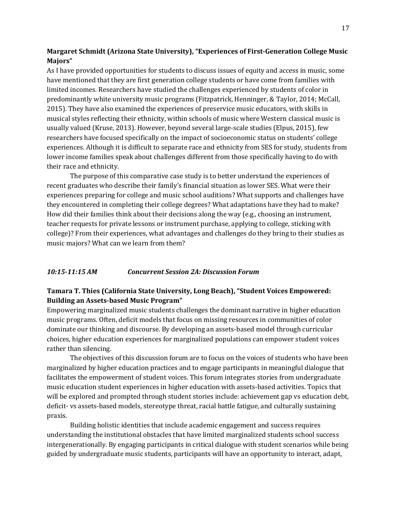## **Margaret Schmidt (Arizona State University), "Experiences of First-Generation College Music Majors"**

As I have provided opportunities for students to discuss issues of equity and access in music, some have mentioned that they are first generation college students or have come from families with limited incomes. Researchers have studied the challenges experienced by students of color in predominantly white university music programs (Fitzpatrick, Henninger, & Taylor, 2014; McCall, 2015). They have also examined the experiences of preservice music educators, with skills in musical styles reflecting their ethnicity, within schools of music where Western classical music is usually valued (Kruse, 2013). However, beyond several large-scale studies (Elpus, 2015), few researchers have focused specifically on the impact of socioeconomic status on students' college experiences. Although it is difficult to separate race and ethnicity from SES for study, students from lower income families speak about challenges different from those specifically having to do with their race and ethnicity.

The purpose of this comparative case study is to better understand the experiences of recent graduates who describe their family's financial situation as lower SES. What were their experiences preparing for college and music school auditions? What supports and challenges have they encountered in completing their college degrees? What adaptations have they had to make? How did their families think about their decisions along the way (e.g., choosing an instrument, teacher requests for private lessons or instrument purchase, applying to college, sticking with college)? From their experiences, what advantages and challenges do they bring to their studies as music majors? What can we learn from them?

#### *10:15-11:15 AM Concurrent Session 2A: Discussion Forum*

## Tamara T. Thies (California State University, Long Beach), "Student Voices Empowered: **Building an Assets-based Music Program"**

Empowering marginalized music students challenges the dominant narrative in higher education music programs. Often, deficit models that focus on missing resources in communities of color dominate our thinking and discourse. By developing an assets-based model through curricular choices, higher education experiences for marginalized populations can empower student voices rather than silencing.

The objectives of this discussion forum are to focus on the voices of students who have been marginalized by higher education practices and to engage participants in meaningful dialogue that facilitates the empowerment of student voices. This forum integrates stories from undergraduate music education student experiences in higher education with assets-based activities. Topics that will be explored and prompted through student stories include: achievement gap vs education debt, deficit- vs assets-based models, stereotype threat, racial battle fatigue, and culturally sustaining praxis.

Building holistic identities that include academic engagement and success requires understanding the institutional obstacles that have limited marginalized students school success intergenerationally. By engaging participants in critical dialogue with student scenarios while being guided by undergraduate music students, participants will have an opportunity to interact, adapt,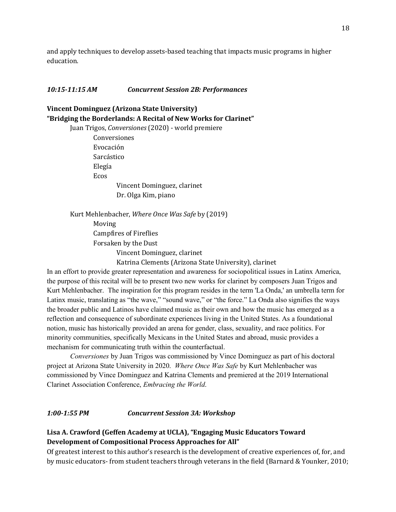and apply techniques to develop assets-based teaching that impacts music programs in higher education.

#### *10:15-11:15 AM Concurrent Session 2B: Performances*

## **Vincent Dominguez (Arizona State University)** "Bridging the Borderlands: A Recital of New Works for Clarinet"

Juan Trigos, *Conversiones* (2020) - world premiere

Conversiones Evocación Sarcástico Elegía Ecos Vincent Dominguez, clarinet Dr. Olga Kim, piano

Kurt Mehlenbacher, *Where Once Was Safe* by (2019) Moving Campfires of Fireflies Forsaken by the Dust Vincent Dominguez, clarinet

Katrina Clements (Arizona State University), clarinet

In an effort to provide greater representation and awareness for sociopolitical issues in Latinx America, the purpose of this recital will be to present two new works for clarinet by composers Juan Trigos and Kurt Mehlenbacher. The inspiration for this program resides in the term 'La Onda,' an umbrella term for Latinx music, translating as "the wave," "sound wave," or "the force." La Onda also signifies the ways the broader public and Latinos have claimed music as their own and how the music has emerged as a reflection and consequence of subordinate experiences living in the United States. As a foundational notion, music has historically provided an arena for gender, class, sexuality, and race politics. For minority communities, specifically Mexicans in the United States and abroad, music provides a mechanism for communicating truth within the counterfactual.

*Conversiones* by Juan Trigos was commissioned by Vince Dominguez as part of his doctoral project at Arizona State University in 2020. *Where Once Was Safe* by Kurt Mehlenbacher was commissioned by Vince Dominguez and Katrina Clements and premiered at the 2019 International Clarinet Association Conference, *Embracing the World*.

#### *1:00-1:55 PM Concurrent Session 3A: Workshop*

## Lisa A. Crawford (Geffen Academy at UCLA), "Engaging Music Educators Toward **Development of Compositional Process Approaches for All"**

Of greatest interest to this author's research is the development of creative experiences of, for, and by music educators- from student teachers through veterans in the field (Barnard & Younker, 2010;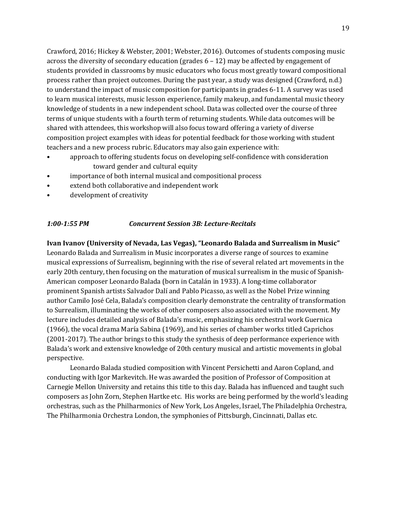Crawford, 2016; Hickey & Webster, 2001; Webster, 2016). Outcomes of students composing music across the diversity of secondary education (grades  $6 - 12$ ) may be affected by engagement of students provided in classrooms by music educators who focus most greatly toward compositional process rather than project outcomes. During the past year, a study was designed (Crawford, n.d.) to understand the impact of music composition for participants in grades 6-11. A survey was used to learn musical interests, music lesson experience, family makeup, and fundamental music theory knowledge of students in a new independent school. Data was collected over the course of three terms of unique students with a fourth term of returning students. While data outcomes will be shared with attendees, this workshop will also focus toward offering a variety of diverse composition project examples with ideas for potential feedback for those working with student teachers and a new process rubric. Educators may also gain experience with:

- approach to offering students focus on developing self-confidence with consideration toward gender and cultural equity
- importance of both internal musical and compositional process
- extend both collaborative and independent work
- development of creativity

#### *1:00-1:55 PM Concurrent Session 3B: Lecture-Recitals*

**Ivan Ivanov (University of Nevada, Las Vegas), "Leonardo Balada and Surrealism in Music"** Leonardo Balada and Surrealism in Music incorporates a diverse range of sources to examine musical expressions of Surrealism, beginning with the rise of several related art movements in the early 20th century, then focusing on the maturation of musical surrealism in the music of Spanish-American composer Leonardo Balada (born in Catalán in 1933). A long-time collaborator prominent Spanish artists Salvador Dalí and Pablo Picasso, as well as the Nobel Prize winning author Camilo José Cela, Balada's composition clearly demonstrate the centrality of transformation to Surrealism, illuminating the works of other composers also associated with the movement. My lecture includes detailed analysis of Balada's music, emphasizing his orchestral work Guernica (1966), the vocal drama María Sabina (1969), and his series of chamber works titled Caprichos (2001-2017). The author brings to this study the synthesis of deep performance experience with Balada's work and extensive knowledge of 20th century musical and artistic movements in global perspective.

Leonardo Balada studied composition with Vincent Persichetti and Aaron Copland, and conducting with Igor Markevitch. He was awarded the position of Professor of Composition at Carnegie Mellon University and retains this title to this day. Balada has influenced and taught such composers as John Zorn, Stephen Hartke etc. His works are being performed by the world's leading orchestras, such as the Philharmonics of New York, Los Angeles, Israel, The Philadelphia Orchestra, The Philharmonia Orchestra London, the symphonies of Pittsburgh, Cincinnati, Dallas etc.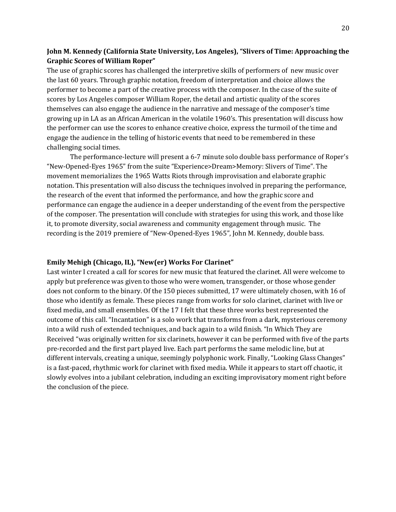## **John M. Kennedy (California State University, Los Angeles), "Slivers of Time: Approaching the Graphic Scores of William Roper"**

The use of graphic scores has challenged the interpretive skills of performers of new music over the last 60 years. Through graphic notation, freedom of interpretation and choice allows the performer to become a part of the creative process with the composer. In the case of the suite of scores by Los Angeles composer William Roper, the detail and artistic quality of the scores themselves can also engage the audience in the narrative and message of the composer's time growing up in LA as an African American in the volatile 1960's. This presentation will discuss how the performer can use the scores to enhance creative choice, express the turmoil of the time and engage the audience in the telling of historic events that need to be remembered in these challenging social times.

The performance-lecture will present a 6-7 minute solo double bass performance of Roper's "New-Opened-Eyes 1965" from the suite "Experience>Dream>Memory: Slivers of Time". The movement memorializes the 1965 Watts Riots through improvisation and elaborate graphic notation. This presentation will also discuss the techniques involved in preparing the performance, the research of the event that informed the performance, and how the graphic score and performance can engage the audience in a deeper understanding of the event from the perspective of the composer. The presentation will conclude with strategies for using this work, and those like it, to promote diversity, social awareness and community engagement through music. The recording is the 2019 premiere of "New-Opened-Eyes 1965", John M. Kennedy, double bass.

#### **Emily Mehigh (Chicago, IL), "New(er) Works For Clarinet"**

Last winter I created a call for scores for new music that featured the clarinet. All were welcome to apply but preference was given to those who were women, transgender, or those whose gender does not conform to the binary. Of the 150 pieces submitted, 17 were ultimately chosen, with 16 of those who identify as female. These pieces range from works for solo clarinet, clarinet with live or fixed media, and small ensembles. Of the 17 I felt that these three works best represented the outcome of this call. "Incantation" is a solo work that transforms from a dark, mysterious ceremony into a wild rush of extended techniques, and back again to a wild finish. "In Which They are Received "was originally written for six clarinets, however it can be performed with five of the parts pre-recorded and the first part played live. Each part performs the same melodic line, but at different intervals, creating a unique, seemingly polyphonic work. Finally, "Looking Glass Changes" is a fast-paced, rhythmic work for clarinet with fixed media. While it appears to start off chaotic, it slowly evolves into a jubilant celebration, including an exciting improvisatory moment right before the conclusion of the piece.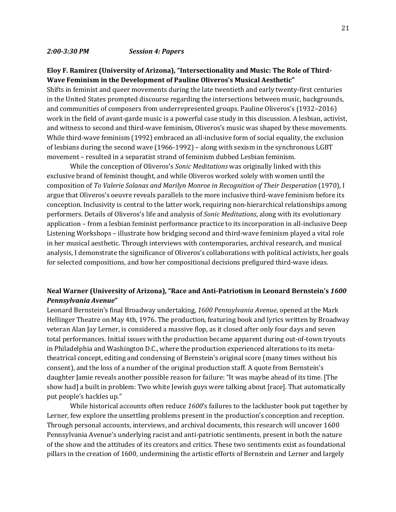## Eloy F. Ramirez (University of Arizona), "Intersectionality and Music: The Role of Third-**Wave Feminism in the Development of Pauline Oliveros's Musical Aesthetic"**

Shifts in feminist and queer movements during the late twentieth and early twenty-first centuries in the United States prompted discourse regarding the intersections between music, backgrounds, and communities of composers from underrepresented groups. Pauline Oliveros's (1932–2016) work in the field of avant-garde music is a powerful case study in this discussion. A lesbian, activist, and witness to second and third-wave feminism, Oliveros's music was shaped by these movements. While third-wave feminism (1992) embraced an all-inclusive form of social equality, the exclusion of lesbians during the second wave  $(1966-1992)$  – along with sexism in the synchronous LGBT movement - resulted in a separatist strand of feminism dubbed Lesbian feminism.

While the conception of Oliveros's *Sonic Meditations* was originally linked with this exclusive brand of feminist thought, and while Oliveros worked solely with women until the composition of *To Valerie Solanas and Marilyn Monroe in Recognition of Their Desperation* (1970), I argue that Oliveros's oeuvre reveals parallels to the more inclusive third-wave feminism before its conception. Inclusivity is central to the latter work, requiring non-hierarchical relationships among performers. Details of Oliveros's life and analysis of *Sonic Meditations*, along with its evolutionary application - from a lesbian feminist performance practice to its incorporation in all-inclusive Deep Listening Workshops – illustrate how bridging second and third-wave feminism played a vital role in her musical aesthetic. Through interviews with contemporaries, archival research, and musical analysis, I demonstrate the significance of Oliveros's collaborations with political activists, her goals for selected compositions, and how her compositional decisions prefigured third-wave ideas.

## **Neal Warner (University of Arizona), "Race and Anti-Patriotism in Leonard Bernstein's 1600** *Pennsylvania Avenue***"**

Leonard Bernstein's final Broadway undertaking, 1600 Pennsylvania Avenue, opened at the Mark Hellinger Theatre on May 4th, 1976. The production, featuring book and lyrics written by Broadway veteran Alan Jay Lerner, is considered a massive flop, as it closed after only four days and seven total performances. Initial issues with the production became apparent during out-of-town tryouts in Philadelphia and Washington D.C., where the production experienced alterations to its metatheatrical concept, editing and condensing of Bernstein's original score (many times without his consent), and the loss of a number of the original production staff. A quote from Bernstein's daughter Jamie reveals another possible reason for failure: "It was maybe ahead of its time. [The show had] a built in problem: Two white Jewish guys were talking about [race]. That automatically put people's hackles up."

While historical accounts often reduce 1600's failures to the lackluster book put together by Lerner, few explore the unsettling problems present in the production's conception and reception. Through personal accounts, interviews, and archival documents, this research will uncover 1600 Pennsylvania Avenue's underlying racist and anti-patriotic sentiments, present in both the nature of the show and the attitudes of its creators and critics. These two sentiments exist as foundational pillars in the creation of 1600, undermining the artistic efforts of Bernstein and Lerner and largely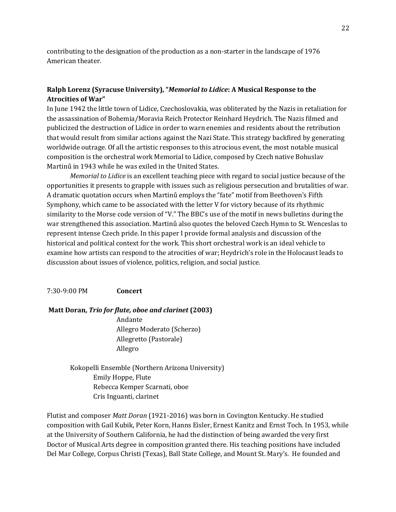contributing to the designation of the production as a non-starter in the landscape of 1976 American theater.

## **Ralph Lorenz (Syracuse University), "***Memorial to Lidice***: A Musical Response to the Atrocities of War"**

In June 1942 the little town of Lidice, Czechoslovakia, was obliterated by the Nazis in retaliation for the assassination of Bohemia/Moravia Reich Protector Reinhard Heydrich. The Nazis filmed and publicized the destruction of Lidice in order to warn enemies and residents about the retribution that would result from similar actions against the Nazi State. This strategy backfired by generating worldwide outrage. Of all the artistic responses to this atrocious event, the most notable musical composition is the orchestral work Memorial to Lidice, composed by Czech native Bohuslav Martinů in 1943 while he was exiled in the United States.

*Memorial to Lidice* is an excellent teaching piece with regard to social justice because of the opportunities it presents to grapple with issues such as religious persecution and brutalities of war. A dramatic quotation occurs when Martinů employs the "fate" motif from Beethoven's Fifth Symphony, which came to be associated with the letter V for victory because of its rhythmic similarity to the Morse code version of "V." The BBC's use of the motif in news bulletins during the war strengthened this association. Martinů also quotes the beloved Czech Hymn to St. Wenceslas to represent intense Czech pride. In this paper I provide formal analysis and discussion of the historical and political context for the work. This short orchestral work is an ideal vehicle to examine how artists can respond to the atrocities of war; Heydrich's role in the Holocaust leads to discussion about issues of violence, politics, religion, and social justice.

#### 7:30-9:00 PM **Concert**

#### **Matt Doran,** *Trio for flute, oboe and clarinet* **(2003)**

 Andante Allegro Moderato (Scherzo) Allegretto (Pastorale) Allegro

Kokopelli Ensemble (Northern Arizona University) Emily Hoppe, Flute Rebecca Kemper Scarnati, oboe Cris Inguanti, clarinet

Flutist and composer *Matt Doran* (1921-2016) was born in Covington Kentucky. He studied composition with Gail Kubik, Peter Korn, Hanns Eisler, Ernest Kanitz and Ernst Toch. In 1953, while at the University of Southern California, he had the distinction of being awarded the very first Doctor of Musical Arts degree in composition granted there. His teaching positions have included Del Mar College, Corpus Christi (Texas), Ball State College, and Mount St. Mary's. He founded and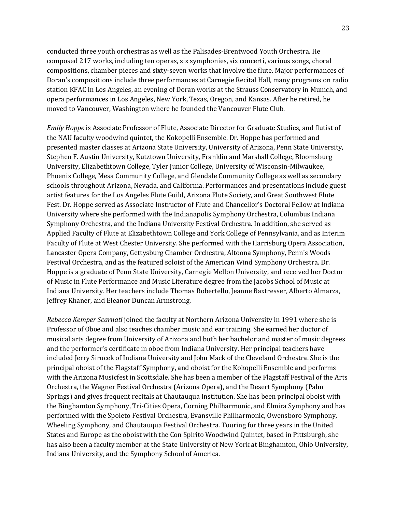conducted three youth orchestras as well as the Palisades-Brentwood Youth Orchestra. He composed 217 works, including ten operas, six symphonies, six concerti, various songs, choral compositions, chamber pieces and sixty-seven works that involve the flute. Major performances of Doran's compositions include three performances at Carnegie Recital Hall, many programs on radio station KFAC in Los Angeles, an evening of Doran works at the Strauss Conservatory in Munich, and opera performances in Los Angeles, New York, Texas, Oregon, and Kansas. After he retired, he moved to Vancouver, Washington where he founded the Vancouver Flute Club.

*Emily Hoppe* is Associate Professor of Flute, Associate Director for Graduate Studies, and flutist of the NAU faculty woodwind quintet, the Kokopelli Ensemble. Dr. Hoppe has performed and presented master classes at Arizona State University, University of Arizona, Penn State University, Stephen F. Austin University, Kutztown University, Franklin and Marshall College, Bloomsburg University, Elizabethtown College, Tyler Junior College, University of Wisconsin-Milwaukee, Phoenix College, Mesa Community College, and Glendale Community College as well as secondary schools throughout Arizona, Nevada, and California. Performances and presentations include guest artist features for the Los Angeles Flute Guild, Arizona Flute Society, and Great Southwest Flute Fest. Dr. Hoppe served as Associate Instructor of Flute and Chancellor's Doctoral Fellow at Indiana University where she performed with the Indianapolis Symphony Orchestra, Columbus Indiana Symphony Orchestra, and the Indiana University Festival Orchestra. In addition, she served as Applied Faculty of Flute at Elizabethtown College and York College of Pennsylvania, and as Interim Faculty of Flute at West Chester University. She performed with the Harrisburg Opera Association, Lancaster Opera Company, Gettysburg Chamber Orchestra, Altoona Symphony, Penn's Woods Festival Orchestra, and as the featured soloist of the American Wind Symphony Orchestra. Dr. Hoppe is a graduate of Penn State University, Carnegie Mellon University, and received her Doctor of Music in Flute Performance and Music Literature degree from the Jacobs School of Music at Indiana University. Her teachers include Thomas Robertello, Jeanne Baxtresser, Alberto Almarza, Jeffrey Khaner, and Eleanor Duncan Armstrong.

*Rebecca Kemper Scarnati* joined the faculty at Northern Arizona University in 1991 where she is Professor of Oboe and also teaches chamber music and ear training. She earned her doctor of musical arts degree from University of Arizona and both her bachelor and master of music degrees and the performer's certificate in oboe from Indiana University. Her principal teachers have included Jerry Sirucek of Indiana University and John Mack of the Cleveland Orchestra. She is the principal oboist of the Flagstaff Symphony, and oboist for the Kokopelli Ensemble and performs with the Arizona Musicfest in Scottsdale. She has been a member of the Flagstaff Festival of the Arts Orchestra, the Wagner Festival Orchestra (Arizona Opera), and the Desert Symphony (Palm Springs) and gives frequent recitals at Chautauqua Institution. She has been principal oboist with the Binghamton Symphony, Tri-Cities Opera, Corning Philharmonic, and Elmira Symphony and has performed with the Spoleto Festival Orchestra, Evansville Philharmonic, Owensboro Symphony, Wheeling Symphony, and Chautauqua Festival Orchestra. Touring for three years in the United States and Europe as the oboist with the Con Spirito Woodwind Quintet, based in Pittsburgh, she has also been a faculty member at the State University of New York at Binghamton, Ohio University, Indiana University, and the Symphony School of America.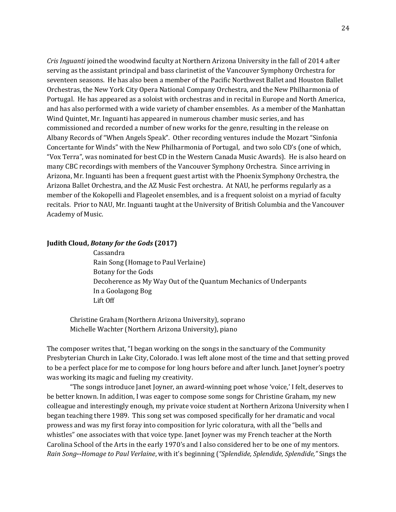*Cris Inguanti* joined the woodwind faculty at Northern Arizona University in the fall of 2014 after serving as the assistant principal and bass clarinetist of the Vancouver Symphony Orchestra for seventeen seasons. He has also been a member of the Pacific Northwest Ballet and Houston Ballet Orchestras, the New York City Opera National Company Orchestra, and the New Philharmonia of Portugal. He has appeared as a soloist with orchestras and in recital in Europe and North America, and has also performed with a wide variety of chamber ensembles. As a member of the Manhattan Wind Quintet, Mr. Inguanti has appeared in numerous chamber music series, and has commissioned and recorded a number of new works for the genre, resulting in the release on Albany Records of "When Angels Speak". Other recording ventures include the Mozart "Sinfonia Concertante for Winds" with the New Philharmonia of Portugal, and two solo CD's (one of which, "Vox Terra", was nominated for best CD in the Western Canada Music Awards). He is also heard on many CBC recordings with members of the Vancouver Symphony Orchestra. Since arriving in Arizona, Mr. Inguanti has been a frequent guest artist with the Phoenix Symphony Orchestra, the Arizona Ballet Orchestra, and the AZ Music Fest orchestra. At NAU, he performs regularly as a member of the Kokopelli and Flageolet ensembles, and is a frequent soloist on a myriad of faculty recitals. Prior to NAU, Mr. Inguanti taught at the University of British Columbia and the Vancouver Academy of Music.

#### **Judith Cloud,** *Botany for the Gods* **(2017)**

Cassandra Rain Song (Homage to Paul Verlaine) Botany for the Gods Decoherence as My Way Out of the Quantum Mechanics of Underpants In a Goolagong Bog Lift Off

Christine Graham (Northern Arizona University), soprano Michelle Wachter (Northern Arizona University), piano

The composer writes that, "I began working on the songs in the sanctuary of the Community Presbyterian Church in Lake City, Colorado. I was left alone most of the time and that setting proved to be a perfect place for me to compose for long hours before and after lunch. Janet Joyner's poetry was working its magic and fueling my creativity.

"The songs introduce Janet Joyner, an award-winning poet whose 'voice,' I felt, deserves to be better known. In addition, I was eager to compose some songs for Christine Graham, my new colleague and interestingly enough, my private voice student at Northern Arizona University when I began teaching there 1989. This song set was composed specifically for her dramatic and vocal prowess and was my first foray into composition for lyric coloratura, with all the "bells and whistles" one associates with that voice type. Janet Joyner was my French teacher at the North Carolina School of the Arts in the early 1970's and I also considered her to be one of my mentors. *Rain Song*<sup>-</sup>-*Homage to Paul Verlaine*, with it's beginning ("Splendide, Splendide, Splendide," Sings the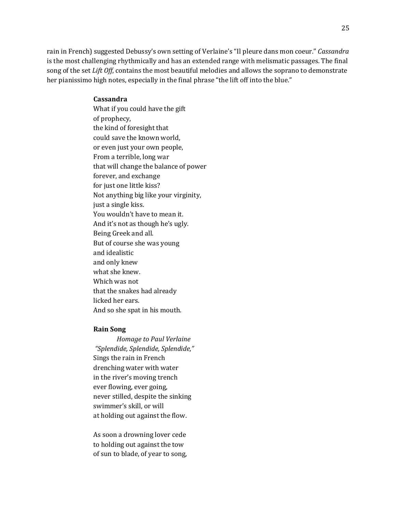rain in French) suggested Debussy's own setting of Verlaine's "Il pleure dans mon coeur." *Cassandra* is the most challenging rhythmically and has an extended range with melismatic passages. The final song of the set *Lift Off*, contains the most beautiful melodies and allows the soprano to demonstrate her pianissimo high notes, especially in the final phrase "the lift off into the blue."

#### **Cassandra**

What if you could have the gift of prophecy, the kind of foresight that could save the known world, or even just your own people, From a terrible, long war that will change the balance of power forever, and exchange for just one little kiss? Not anything big like your virginity, just a single kiss. You wouldn't have to mean it. And it's not as though he's ugly. Being Greek and all. But of course she was young and idealistic and only knew what she knew. Which was not that the snakes had already licked her ears. And so she spat in his mouth.

#### **Rain Song**

*Homage to Paul Verlaine "Splendide, Splendide, Splendide,"* Sings the rain in French drenching water with water in the river's moving trench ever flowing, ever going, never stilled, despite the sinking swimmer's skill, or will at holding out against the flow.

As soon a drowning lover cede to holding out against the tow of sun to blade, of year to song,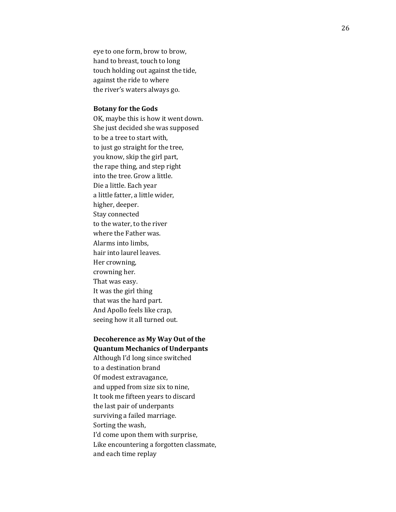eye to one form, brow to brow, hand to breast, touch to long touch holding out against the tide, against the ride to where the river's waters always go.

#### **Botany for the Gods**

OK, maybe this is how it went down. She just decided she was supposed to be a tree to start with, to just go straight for the tree, you know, skip the girl part, the rape thing, and step right into the tree. Grow a little. Die a little. Each year a little fatter, a little wider, higher, deeper. Stay connected to the water, to the river where the Father was. Alarms into limbs. hair into laurel leaves. Her crowning, crowning her. That was easy. It was the girl thing that was the hard part. And Apollo feels like crap, seeing how it all turned out.

## **Decoherence as My Way Out of the Quantum Mechanics of Underpants**

Although I'd long since switched to a destination brand Of modest extravagance, and upped from size six to nine, It took me fifteen years to discard the last pair of underpants surviving a failed marriage. Sorting the wash, I'd come upon them with surprise, Like encountering a forgotten classmate, and each time replay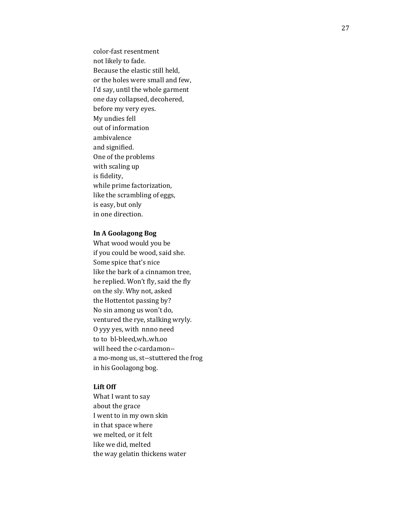color -fast resentment not likely to fade. Because the elastic still held. or the holes were small and few, I'd say, until the whole garment one day collapsed, decohered, before my very eyes. My undies fell out of information ambivalence and signified. One of the problems with scaling up is fidelity, while prime factorization, like the scrambling of eggs, is easy, but only in one direction.

#### **In A Goolagong Bog**

What wood would you be if you could be wood, said she. Some spice that's nice like the bark of a cinnamon tree, he replied. Won't fly, said the fly on the sly. Why not, asked the Hottentot passing by? No sin among us won't do, ventured the rye, stalking wryly. O yyy yes, with nnno need to to bl-bleed,wh..wh.oo will heed the c-cardamon-a mo-mong us, st--stuttered the frog in his Goolagong bog.

#### Lift Off

What I want to say about the grace I went to in my own skin in that space where we melted, or it felt like we did, melted the way gelatin thickens water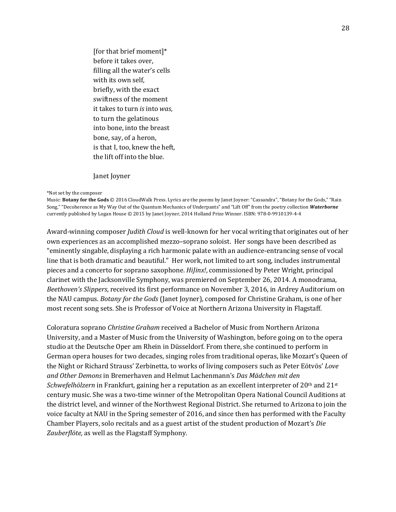[for that brief moment]\* before it takes over, filling all the water's cells with its own self, briefly, with the exact swiftness of the moment it takes to turn *is* into *was*, to turn the gelatinous into bone, into the breast bone, say, of a heron, is that I, too, knew the heft, the lift off into the blue.

#### Janet Joyner

\*Not set by the composer

Music: Botany for the Gods  $@$  2016 CloudWalk Press. Lyrics are the poems by Janet Joyner: "Cassandra", "Botany for the Gods," "Rain Song," "Decoherence as My Way Out of the Quantum Mechanics of Underpants" and "Lift Off" from the poetry collection Waterborne currently published by Logan House  $@$  2015 by Janet Joyner, 2014 Holland Prize Winner. ISBN: 978-0-9910139-4-4

Award-winning composer *Judith Cloud* is well-known for her vocal writing that originates out of her own experiences as an accomplished mezzo-soprano soloist. Her songs have been described as "eminently singable, displaying a rich harmonic palate with an audience-entrancing sense of vocal line that is both dramatic and beautiful." Her work, not limited to art song, includes instrumental pieces and a concerto for soprano saxophone. *HiJinx!*, commissioned by Peter Wright, principal clarinet with the Jacksonville Symphony, was premiered on September 26, 2014. A monodrama, *Beethoven's Slippers*, received its first performance on November 3, 2016, in Ardrey Auditorium on the NAU campus. *Botany for the Gods* (Janet Joyner), composed for Christine Graham, is one of her most recent song sets. She is Professor of Voice at Northern Arizona University in Flagstaff.

Coloratura soprano *Christine Graham* received a Bachelor of Music from Northern Arizona University, and a Master of Music from the University of Washington, before going on to the opera studio at the Deutsche Oper am Rhein in Düsseldorf. From there, she continued to perform in German opera houses for two decades, singing roles from traditional operas, like Mozart's Queen of the Night or Richard Strauss' Zerbinetta, to works of living composers such as Peter Eötvös' Love and Other Demons in Bremerhaven and Helmut Lachenmann's *Das Mädchen mit den Schwefelhölzern* in Frankfurt, gaining her a reputation as an excellent interpreter of 20<sup>th</sup> and 21<sup>st</sup> century music. She was a two-time winner of the Metropolitan Opera National Council Auditions at the district level, and winner of the Northwest Regional District. She returned to Arizona to join the voice faculty at NAU in the Spring semester of 2016, and since then has performed with the Faculty Chamber Players, solo recitals and as a guest artist of the student production of Mozart's *Die* Zauberflöte, as well as the Flagstaff Symphony.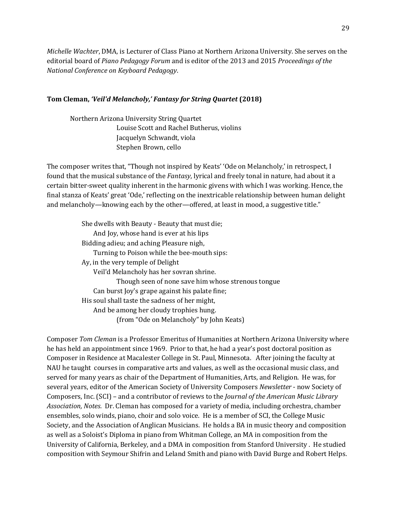*Michelle Wachter*, DMA, is Lecturer of Class Piano at Northern Arizona University. She serves on the editorial board of *Piano Pedagogy Forum* and is editor of the 2013 and 2015 *Proceedings of the National Conference on Keyboard Pedagogy*. 

#### **Tom Cleman,** *'Veil'd Melancholy,' Fantasy for String Quartet* **(2018)**

 Northern Arizona University String Quartet Louise Scott and Rachel Butherus, violins Jacquelyn Schwandt, viola Stephen Brown, cello

The composer writes that, "Though not inspired by Keats' 'Ode on Melancholy,' in retrospect, I found that the musical substance of the *Fantasy*, lyrical and freely tonal in nature, had about it a certain bitter-sweet quality inherent in the harmonic givens with which I was working. Hence, the final stanza of Keats' great 'Ode,' reflecting on the inextricable relationship between human delight and melancholy—knowing each by the other—offered, at least in mood, a suggestive title."

> She dwells with Beauty - Beauty that must die; And Joy, whose hand is ever at his lips Bidding adieu; and aching Pleasure nigh, Turning to Poison while the bee-mouth sips: Ay, in the very temple of Delight Veil'd Melancholy has her sovran shrine. Though seen of none save him whose strenous tongue Can burst Joy's grape against his palate fine; His soul shall taste the sadness of her might, And be among her cloudy trophies hung. (from "Ode on Melancholy" by John Keats)

Composer *Tom Cleman* is a Professor Emeritus of Humanities at Northern Arizona University where he has held an appointment since 1969. Prior to that, he had a year's post doctoral position as Composer in Residence at Macalester College in St. Paul, Minnesota. After joining the faculty at NAU he taught courses in comparative arts and values, as well as the occasional music class, and served for many years as chair of the Department of Humanities, Arts, and Religion. He was, for several years, editor of the American Society of University Composers *Newsletter* - now Society of Composers, Inc. (SCI) – and a contributor of reviews to the *Journal of the American Music Library Association, Notes.* Dr. Cleman has composed for a variety of media, including orchestra, chamber ensembles, solo winds, piano, choir and solo voice. He is a member of SCI, the College Music Society, and the Association of Anglican Musicians. He holds a BA in music theory and composition as well as a Soloist's Diploma in piano from Whitman College, an MA in composition from the University of California, Berkeley, and a DMA in composition from Stanford University . He studied composition with Seymour Shifrin and Leland Smith and piano with David Burge and Robert Helps.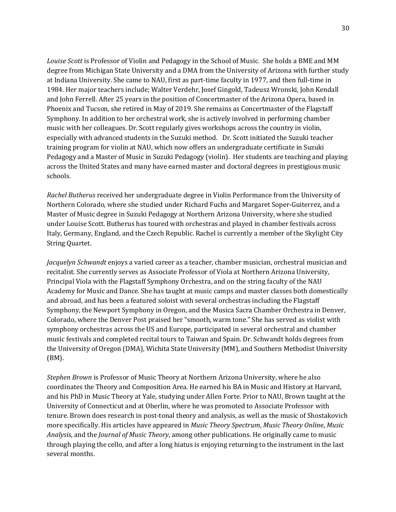Louise Scott is Professor of Violin and Pedagogy in the School of Music. She holds a BME and MM degree from Michigan State University and a DMA from the University of Arizona with further study at Indiana University. She came to NAU, first as part-time faculty in 1977, and then full-time in 1984. Her major teachers include; Walter Verdehr, Josef Gingold, Tadeusz Wronski, John Kendall and John Ferrell. After 25 years in the position of Concertmaster of the Arizona Opera, based in Phoenix and Tucson, she retired in May of 2019. She remains as Concertmaster of the Flagstaff Symphony. In addition to her orchestral work, she is actively involved in performing chamber music with her colleagues. Dr. Scott regularly gives workshops across the country in violin, especially with advanced students in the Suzuki method. Dr. Scott initiated the Suzuki teacher training program for violin at NAU, which now offers an undergraduate certificate in Suzuki Pedagogy and a Master of Music in Suzuki Pedagogy (violin). Her students are teaching and playing across the United States and many have earned master and doctoral degrees in prestigious music schools.

*Rachel Butherus* received her undergraduate degree in Violin Performance from the University of Northern Colorado, where she studied under Richard Fuchs and Margaret Soper-Guiterrez, and a Master of Music degree in Suzuki Pedagogy at Northern Arizona University, where she studied under Louise Scott. Butherus has toured with orchestras and played in chamber festivals across Italy, Germany, England, and the Czech Republic. Rachel is currently a member of the Skylight City String Quartet.

*Jacquelyn Schwandt* enjoys a varied career as a teacher, chamber musician, orchestral musician and recitalist. She currently serves as Associate Professor of Viola at Northern Arizona University, Principal Viola with the Flagstaff Symphony Orchestra, and on the string faculty of the NAU Academy for Music and Dance. She has taught at music camps and master classes both domestically and abroad, and has been a featured soloist with several orchestras including the Flagstaff Symphony, the Newport Symphony in Oregon, and the Musica Sacra Chamber Orchestra in Denver, Colorado, where the Denver Post praised her "smooth, warm tone." She has served as violist with symphony orchestras across the US and Europe, participated in several orchestral and chamber music festivals and completed recital tours to Taiwan and Spain. Dr. Schwandt holds degrees from the University of Oregon (DMA), Wichita State University (MM), and Southern Methodist University (BM).

*Stephen Brown* is Professor of Music Theory at Northern Arizona University, where he also coordinates the Theory and Composition Area. He earned his BA in Music and History at Harvard, and his PhD in Music Theory at Yale, studying under Allen Forte. Prior to NAU, Brown taught at the University of Connecticut and at Oberlin, where he was promoted to Associate Professor with tenure. Brown does research in post-tonal theory and analysis, as well as the music of Shostakovich more specifically. His articles have appeared in *Music Theory Spectrum*, *Music Theory Online*, *Music Analysis*, and the *Journal of Music Theory*, among other publications. He originally came to music through playing the cello, and after a long hiatus is enjoying returning to the instrument in the last several months.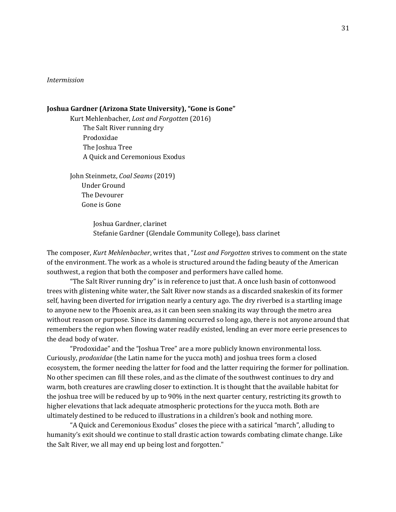#### *Intermission*

#### **Joshua Gardner (Arizona State University), "Gone is Gone"**

 Kurt Mehlenbacher, *Lost and Forgotten* (2016) The Salt River running dry Prodoxidae The Ioshua Tree A Quick and Ceremonious Exodus

John Steinmetz, *Coal Seams* (2019) Under Ground The Devourer Gone is Gone

> Joshua Gardner, clarinet Stefanie Gardner (Glendale Community College), bass clarinet

The composer, *Kurt Mehlenbacher*, writes that, "Lost and Forgotten strives to comment on the state of the environment. The work as a whole is structured around the fading beauty of the American southwest, a region that both the composer and performers have called home.

"The Salt River running dry" is in reference to just that. A once lush basin of cottonwood trees with glistening white water, the Salt River now stands as a discarded snakeskin of its former self, having been diverted for irrigation nearly a century ago. The dry riverbed is a startling image to anyone new to the Phoenix area, as it can been seen snaking its way through the metro area without reason or purpose. Since its damming occurred so long ago, there is not anyone around that remembers the region when flowing water readily existed, lending an ever more eerie presences to the dead body of water.

"Prodoxidae" and the "Joshua Tree" are a more publicly known environmental loss. Curiously, *prodoxidae* (the Latin name for the yucca moth) and joshua trees form a closed ecosystem, the former needing the latter for food and the latter requiring the former for pollination. No other specimen can fill these roles, and as the climate of the southwest continues to dry and warm, both creatures are crawling closer to extinction. It is thought that the available habitat for the joshua tree will be reduced by up to 90% in the next quarter century, restricting its growth to higher elevations that lack adequate atmospheric protections for the yucca moth. Both are ultimately destined to be reduced to illustrations in a children's book and nothing more.

"A Quick and Ceremonious Exodus" closes the piece with a satirical "march", alluding to humanity's exit should we continue to stall drastic action towards combating climate change. Like the Salt River, we all may end up being lost and forgotten."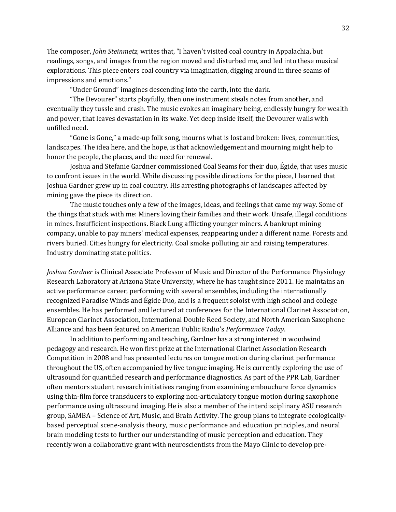The composer, *John Steinmetz*, writes that, "I haven't visited coal country in Appalachia, but readings, songs, and images from the region moved and disturbed me, and led into these musical explorations. This piece enters coal country via imagination, digging around in three seams of impressions and emotions."

"Under Ground" imagines descending into the earth, into the dark.

"The Devourer" starts playfully, then one instrument steals notes from another, and eventually they tussle and crash. The music evokes an imaginary being, endlessly hungry for wealth and power, that leaves devastation in its wake. Yet deep inside itself, the Devourer wails with unfilled need.

"Gone is Gone," a made-up folk song, mourns what is lost and broken: lives, communities, landscapes. The idea here, and the hope, is that acknowledgement and mourning might help to honor the people, the places, and the need for renewal.

Joshua and Stefanie Gardner commissioned Coal Seams for their duo, Égide, that uses music to confront issues in the world. While discussing possible directions for the piece, I learned that Joshua Gardner grew up in coal country. His arresting photographs of landscapes affected by mining gave the piece its direction.

The music touches only a few of the images, ideas, and feelings that came my way. Some of the things that stuck with me: Miners loving their families and their work. Unsafe, illegal conditions in mines. Insufficient inspections. Black Lung afflicting younger miners. A bankrupt mining company, unable to pay miners' medical expenses, reappearing under a different name. Forests and rivers buried. Cities hungry for electricity. Coal smoke polluting air and raising temperatures. Industry dominating state politics.

*Joshua Gardner* is Clinical Associate Professor of Music and Director of the Performance Physiology Research Laboratory at Arizona State University, where he has taught since 2011. He maintains an active performance career, performing with several ensembles, including the internationally recognized Paradise Winds and Égide Duo, and is a frequent soloist with high school and college ensembles. He has performed and lectured at conferences for the International Clarinet Association, European Clarinet Association, International Double Reed Society, and North American Saxophone Alliance and has been featured on American Public Radio's *Performance Today*.

In addition to performing and teaching, Gardner has a strong interest in woodwind pedagogy and research. He won first prize at the International Clarinet Association Research Competition in 2008 and has presented lectures on tongue motion during clarinet performance throughout the US, often accompanied by live tongue imaging. He is currently exploring the use of ultrasound for quantified research and performance diagnostics. As part of the PPR Lab, Gardner often mentors student research initiatives ranging from examining embouchure force dynamics using thin-film force transducers to exploring non-articulatory tongue motion during saxophone performance using ultrasound imaging. He is also a member of the interdisciplinary ASU research group, SAMBA - Science of Art, Music, and Brain Activity. The group plans to integrate ecologicallybased perceptual scene-analysis theory, music performance and education principles, and neural brain modeling tests to further our understanding of music perception and education. They recently won a collaborative grant with neuroscientists from the Mayo Clinic to develop pre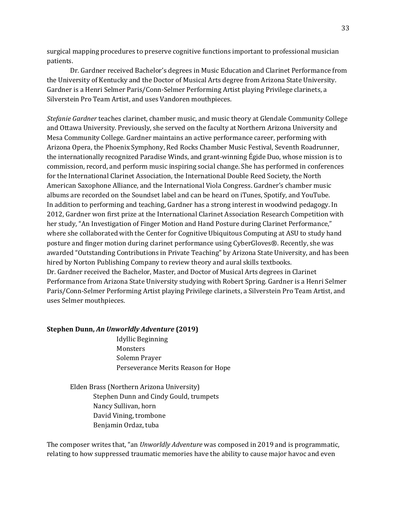surgical mapping procedures to preserve cognitive functions important to professional musician patients.

Dr. Gardner received Bachelor's degrees in Music Education and Clarinet Performance from the University of Kentucky and the Doctor of Musical Arts degree from Arizona State University. Gardner is a Henri Selmer Paris/Conn-Selmer Performing Artist playing Privilege clarinets, a Silverstein Pro Team Artist, and uses Vandoren mouthpieces.

*Stefanie Gardner* teaches clarinet, chamber music, and music theory at Glendale Community College and Ottawa University. Previously, she served on the faculty at Northern Arizona University and Mesa Community College. Gardner maintains an active performance career, performing with Arizona Opera, the Phoenix Symphony, Red Rocks Chamber Music Festival, Seventh Roadrunner, the internationally recognized Paradise Winds, and grant-winning Égide Duo, whose mission is to commission, record, and perform music inspiring social change. She has performed in conferences for the International Clarinet Association, the International Double Reed Society, the North American Saxophone Alliance, and the International Viola Congress. Gardner's chamber music albums are recorded on the Soundset label and can be heard on iTunes, Spotify, and YouTube. In addition to performing and teaching, Gardner has a strong interest in woodwind pedagogy. In 2012, Gardner won first prize at the International Clarinet Association Research Competition with her study, "An Investigation of Finger Motion and Hand Posture during Clarinet Performance," where she collaborated with the Center for Cognitive Ubiquitous Computing at ASU to study hand posture and finger motion during clarinet performance using CyberGloves®. Recently, she was awarded "Outstanding Contributions in Private Teaching" by Arizona State University, and has been hired by Norton Publishing Company to review theory and aural skills textbooks. Dr. Gardner received the Bachelor, Master, and Doctor of Musical Arts degrees in Clarinet Performance from Arizona State University studying with Robert Spring. Gardner is a Henri Selmer Paris/Conn-Selmer Performing Artist playing Privilege clarinets, a Silverstein Pro Team Artist, and uses Selmer mouthpieces.

#### **Stephen Dunn,** *An Unworldly Adventure* **(2019)**

 Idyllic Beginning Monsters Solemn Prayer Perseverance Merits Reason for Hope

Elden Brass (Northern Arizona University) Stephen Dunn and Cindy Gould, trumpets Nancy Sullivan, horn David Vining, trombone Benjamin Ordaz, tuba

The composer writes that, "an *Unworldly Adventure* was composed in 2019 and is programmatic, relating to how suppressed traumatic memories have the ability to cause major havoc and even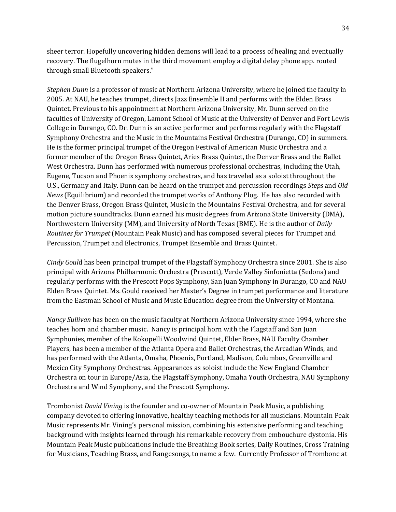sheer terror. Hopefully uncovering hidden demons will lead to a process of healing and eventually recovery. The flugelhorn mutes in the third movement employ a digital delay phone app. routed through small Bluetooth speakers."

*Stephen Dunn* is a professor of music at Northern Arizona University, where he joined the faculty in 2005. At NAU, he teaches trumpet, directs Jazz Ensemble II and performs with the Elden Brass Quintet. Previous to his appointment at Northern Arizona University, Mr. Dunn served on the faculties of University of Oregon, Lamont School of Music at the University of Denver and Fort Lewis College in Durango, CO. Dr. Dunn is an active performer and performs regularly with the Flagstaff Symphony Orchestra and the Music in the Mountains Festival Orchestra (Durango, CO) in summers. He is the former principal trumpet of the Oregon Festival of American Music Orchestra and a former member of the Oregon Brass Quintet, Aries Brass Quintet, the Denver Brass and the Ballet West Orchestra. Dunn has performed with numerous professional orchestras, including the Utah, Eugene, Tucson and Phoenix symphony orchestras, and has traveled as a soloist throughout the U.S., Germany and Italy. Dunn can be heard on the trumpet and percussion recordings *Steps* and *Old News* (Equilibrium) and recorded the trumpet works of Anthony Plog. He has also recorded with the Denver Brass, Oregon Brass Quintet, Music in the Mountains Festival Orchestra, and for several motion picture soundtracks. Dunn earned his music degrees from Arizona State University (DMA), Northwestern University (MM), and University of North Texas (BME). He is the author of *Daily Routines for Trumpet* (Mountain Peak Music) and has composed several pieces for Trumpet and Percussion, Trumpet and Electronics, Trumpet Ensemble and Brass Quintet.

*Cindy Gould* has been principal trumpet of the Flagstaff Symphony Orchestra since 2001. She is also principal with Arizona Philharmonic Orchestra (Prescott), Verde Valley Sinfonietta (Sedona) and regularly performs with the Prescott Pops Symphony, San Juan Symphony in Durango, CO and NAU Elden Brass Quintet. Ms. Gould received her Master's Degree in trumpet performance and literature from the Eastman School of Music and Music Education degree from the University of Montana.

*Nancy Sullivan* has been on the music faculty at Northern Arizona University since 1994, where she teaches horn and chamber music. Nancy is principal horn with the Flagstaff and San Juan Symphonies, member of the Kokopelli Woodwind Quintet, EldenBrass, NAU Faculty Chamber Players, has been a member of the Atlanta Opera and Ballet Orchestras, the Arcadian Winds, and has performed with the Atlanta, Omaha, Phoenix, Portland, Madison, Columbus, Greenville and Mexico City Symphony Orchestras. Appearances as soloist include the New England Chamber Orchestra on tour in Europe/Asia, the Flagstaff Symphony, Omaha Youth Orchestra, NAU Symphony Orchestra and Wind Symphony, and the Prescott Symphony.

Trombonist *David Vining* is the founder and co-owner of Mountain Peak Music, a publishing company devoted to offering innovative, healthy teaching methods for all musicians. Mountain Peak Music represents Mr. Vining's personal mission, combining his extensive performing and teaching background with insights learned through his remarkable recovery from embouchure dystonia. His Mountain Peak Music publications include the Breathing Book series, Daily Routines, Cross Training for Musicians, Teaching Brass, and Rangesongs, to name a few. Currently Professor of Trombone at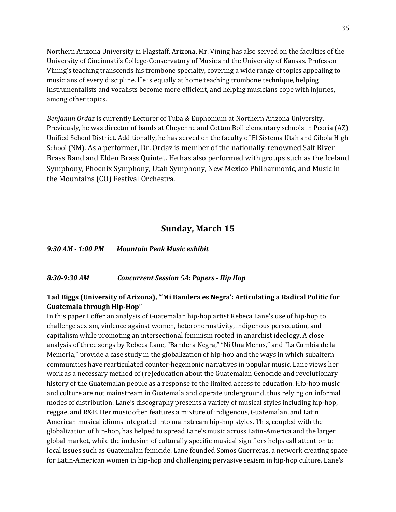Northern Arizona University in Flagstaff, Arizona, Mr. Vining has also served on the faculties of the University of Cincinnati's College-Conservatory of Music and the University of Kansas. Professor Vining's teaching transcends his trombone specialty, covering a wide range of topics appealing to musicians of every discipline. He is equally at home teaching trombone technique, helping instrumentalists and vocalists become more efficient, and helping musicians cope with injuries, among other topics.

*Benjamin Ordaz* is currently Lecturer of Tuba & Euphonium at Northern Arizona University. Previously, he was director of bands at Cheyenne and Cotton Boll elementary schools in Peoria (AZ) Unified School District. Additionally, he has served on the faculty of El Sistema Utah and Cibola High School (NM). As a performer, Dr. Ordaz is member of the nationally-renowned Salt River Brass Band and Elden Brass Quintet. He has also performed with groups such as the Iceland Symphony, Phoenix Symphony, Utah Symphony, New Mexico Philharmonic, and Music in the Mountains (CO) Festival Orchestra.

## **Sunday, March 15**

*9:30 AM - 1:00 PM Mountain Peak Music exhibit*

*8:30-9:30 AM Concurrent Session 5A: Papers - Hip Hop*

## Tad Biggs (University of Arizona), "'Mi Bandera es Negra': Articulating a Radical Politic for **Guatemala through Hip-Hop"**

In this paper I offer an analysis of Guatemalan hip-hop artist Rebeca Lane's use of hip-hop to challenge sexism, violence against women, heteronormativity, indigenous persecution, and capitalism while promoting an intersectional feminism rooted in anarchist ideology. A close analysis of three songs by Rebeca Lane, "Bandera Negra," "Ni Una Menos," and "La Cumbia de la Memoria," provide a case study in the globalization of hip-hop and the ways in which subaltern communities have rearticulated counter-hegemonic narratives in popular music. Lane views her work as a necessary method of (re)education about the Guatemalan Genocide and revolutionary history of the Guatemalan people as a response to the limited access to education. Hip-hop music and culture are not mainstream in Guatemala and operate underground, thus relying on informal modes of distribution. Lane's discography presents a variety of musical styles including hip-hop, reggae, and R&B. Her music often features a mixture of indigenous, Guatemalan, and Latin American musical idioms integrated into mainstream hip-hop styles. This, coupled with the globalization of hip-hop, has helped to spread Lane's music across Latin-America and the larger global market, while the inclusion of culturally specific musical signifiers helps call attention to local issues such as Guatemalan femicide. Lane founded Somos Guerreras, a network creating space for Latin-American women in hip-hop and challenging pervasive sexism in hip-hop culture. Lane's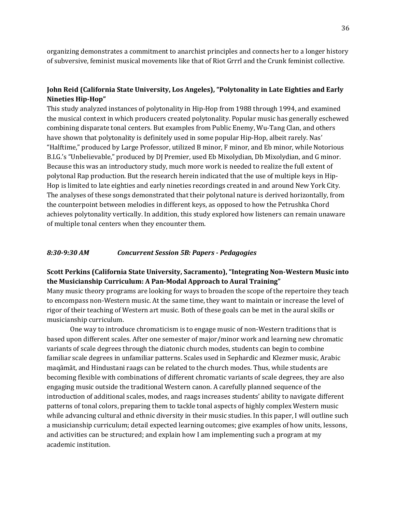organizing demonstrates a commitment to anarchist principles and connects her to a longer history of subversive, feminist musical movements like that of Riot Grrrl and the Crunk feminist collective.

## **John Reid (California State University, Los Angeles), "Polytonality in Late Eighties and Early Nineties Hip-Hop"**

This study analyzed instances of polytonality in Hip-Hop from 1988 through 1994, and examined the musical context in which producers created polytonality. Popular music has generally eschewed combining disparate tonal centers. But examples from Public Enemy, Wu-Tang Clan, and others have shown that polytonality is definitely used in some popular Hip-Hop, albeit rarely. Nas' "Halftime," produced by Large Professor, utilized B minor, F minor, and Eb minor, while Notorious B.I.G.'s "Unbelievable," produced by DJ Premier, used Eb Mixolydian, Db Mixolydian, and G minor. Because this was an introductory study, much more work is needed to realize the full extent of polytonal Rap production. But the research herein indicated that the use of multiple keys in Hip-Hop is limited to late eighties and early nineties recordings created in and around New York City. The analyses of these songs demonstrated that their polytonal nature is derived horizontally, from the counterpoint between melodies in different keys, as opposed to how the Petrushka Chord achieves polytonality vertically. In addition, this study explored how listeners can remain unaware of multiple tonal centers when they encounter them.

#### *8:30-9:30 AM Concurrent Session 5B: Papers - Pedagogies*

## Scott Perkins (California State University, Sacramento), "Integrating Non-Western Music into **the Musicianship Curriculum: A Pan-Modal Approach to Aural Training"**

Many music theory programs are looking for ways to broaden the scope of the repertoire they teach to encompass non-Western music. At the same time, they want to maintain or increase the level of rigor of their teaching of Western art music. Both of these goals can be met in the aural skills or musicianship curriculum.

One way to introduce chromaticism is to engage music of non-Western traditions that is based upon different scales. After one semester of major/minor work and learning new chromatic variants of scale degrees through the diatonic church modes, students can begin to combine familiar scale degrees in unfamiliar patterns. Scales used in Sephardic and Klezmer music, Arabic maqāmāt, and Hindustani raags can be related to the church modes. Thus, while students are becoming flexible with combinations of different chromatic variants of scale degrees, they are also engaging music outside the traditional Western canon. A carefully planned sequence of the introduction of additional scales, modes, and raags increases students' ability to navigate different patterns of tonal colors, preparing them to tackle tonal aspects of highly complex Western music while advancing cultural and ethnic diversity in their music studies. In this paper, I will outline such a musicianship curriculum; detail expected learning outcomes; give examples of how units, lessons, and activities can be structured; and explain how I am implementing such a program at my academic institution.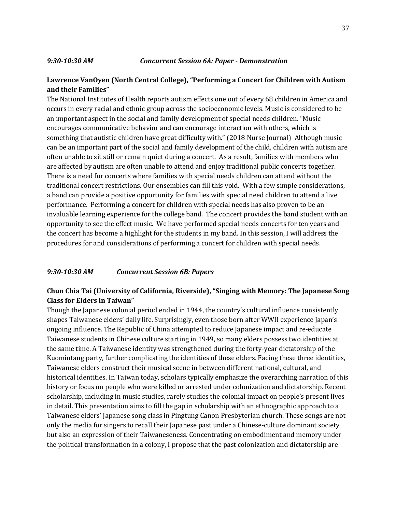## **Lawrence VanOyen (North Central College), "Performing a Concert for Children with Autism and their Families"**

The National Institutes of Health reports autism effects one out of every 68 children in America and occurs in every racial and ethnic group across the socioeconomic levels. Music is considered to be an important aspect in the social and family development of special needs children. "Music encourages communicative behavior and can encourage interaction with others, which is something that autistic children have great difficulty with." (2018 Nurse Journal) Although music can be an important part of the social and family development of the child, children with autism are often unable to sit still or remain quiet during a concert. As a result, families with members who are affected by autism are often unable to attend and enjoy traditional public concerts together. There is a need for concerts where families with special needs children can attend without the traditional concert restrictions. Our ensembles can fill this void. With a few simple considerations, a band can provide a positive opportunity for families with special need children to attend a live performance. Performing a concert for children with special needs has also proven to be an invaluable learning experience for the college band. The concert provides the band student with an opportunity to see the effect music. We have performed special needs concerts for ten years and the concert has become a highlight for the students in my band. In this session, I will address the procedures for and considerations of performing a concert for children with special needs.

#### *9:30-10:30 AM Concurrent Session 6B: Papers*

## Chun Chia Tai (University of California, Riverside), "Singing with Memory: The Japanese Song **Class for Elders in Taiwan"**

Though the Japanese colonial period ended in 1944, the country's cultural influence consistently shapes Taiwanese elders' daily life. Surprisingly, even those born after WWII experience Japan's ongoing influence. The Republic of China attempted to reduce Japanese impact and re-educate Taiwanese students in Chinese culture starting in 1949, so many elders possess two identities at the same time. A Taiwanese identity was strengthened during the forty-year dictatorship of the Kuomintang party, further complicating the identities of these elders. Facing these three identities, Taiwanese elders construct their musical scene in between different national, cultural, and historical identities. In Taiwan today, scholars typically emphasize the overarching narration of this history or focus on people who were killed or arrested under colonization and dictatorship. Recent scholarship, including in music studies, rarely studies the colonial impact on people's present lives in detail. This presentation aims to fill the gap in scholarship with an ethnographic approach to a Taiwanese elders' Japanese song class in Pingtung Canon Presbyterian church. These songs are not only the media for singers to recall their Japanese past under a Chinese-culture dominant society but also an expression of their Taiwaneseness. Concentrating on embodiment and memory under the political transformation in a colony, I propose that the past colonization and dictatorship are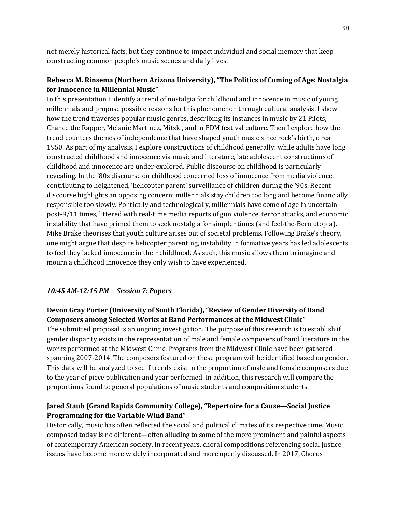not merely historical facts, but they continue to impact individual and social memory that keep constructing common people's music scenes and daily lives.

## **Rebecca M. Rinsema (Northern Arizona University), "The Politics of Coming of Age: Nostalgia** for Innocence in Millennial Music"

In this presentation I identify a trend of nostalgia for childhood and innocence in music of young millennials and propose possible reasons for this phenomenon through cultural analysis. I show how the trend traverses popular music genres, describing its instances in music by 21 Pilots, Chance the Rapper, Melanie Martinez, Mitzki, and in EDM festival culture. Then I explore how the trend counters themes of independence that have shaped youth music since rock's birth, circa 1950. As part of my analysis, I explore constructions of childhood generally: while adults have long constructed childhood and innocence via music and literature, late adolescent constructions of childhood and innocence are under-explored. Public discourse on childhood is particularly revealing. In the '80s discourse on childhood concerned loss of innocence from media violence, contributing to heightened, 'helicopter parent' surveillance of children during the '90s. Recent discourse highlights an opposing concern: millennials stay children too long and become financially responsible too slowly. Politically and technologically, millennials have come of age in uncertain post-9/11 times, littered with real-time media reports of gun violence, terror attacks, and economic instability that have primed them to seek nostalgia for simpler times (and feel-the-Bern utopia). Mike Brake theorises that youth culture arises out of societal problems. Following Brake's theory, one might argue that despite helicopter parenting, instability in formative years has led adolescents to feel they lacked innocence in their childhood. As such, this music allows them to imagine and mourn a childhood innocence they only wish to have experienced.

#### *10:45 AM-12:15 PM Session 7: Papers*

## Devon Gray Porter (University of South Florida), "Review of Gender Diversity of Band Composers among Selected Works at Band Performances at the Midwest Clinic"

The submitted proposal is an ongoing investigation. The purpose of this research is to establish if gender disparity exists in the representation of male and female composers of band literature in the works performed at the Midwest Clinic. Programs from the Midwest Clinic have been gathered spanning 2007-2014. The composers featured on these program will be identified based on gender. This data will be analyzed to see if trends exist in the proportion of male and female composers due to the year of piece publication and year performed. In addition, this research will compare the proportions found to general populations of music students and composition students.

## **Jared Staub (Grand Rapids Community College), "Repertoire for a Cause—Social Justice Programming for the Variable Wind Band"**

Historically, music has often reflected the social and political climates of its respective time. Music composed today is no different—often alluding to some of the more prominent and painful aspects of contemporary American society. In recent years, choral compositions referencing social justice issues have become more widely incorporated and more openly discussed. In 2017, Chorus